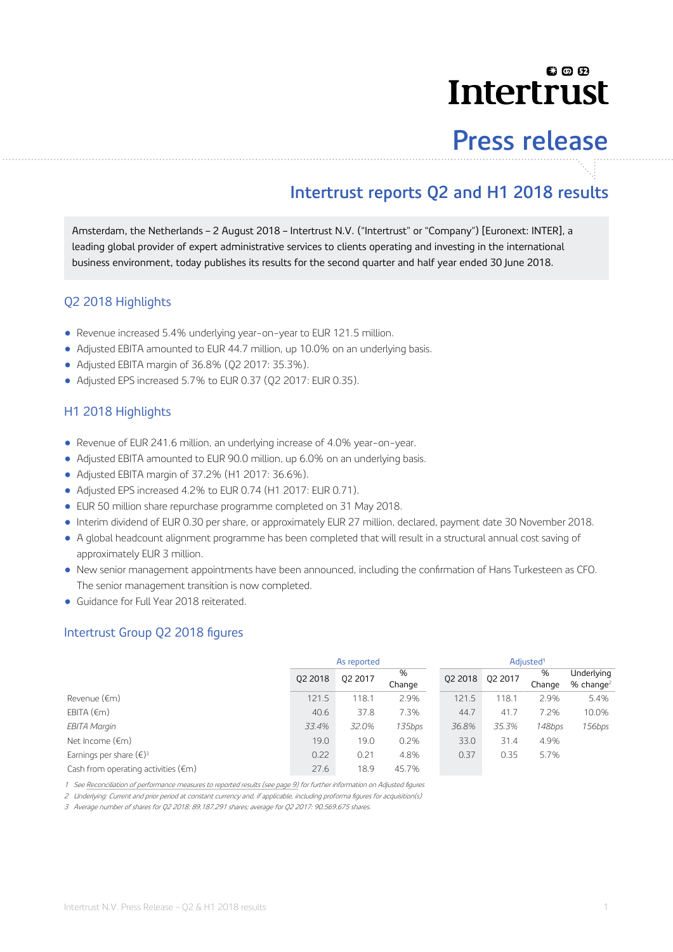## **00日 Intertrust**

# **Press release**

## **Intertrust reports Q2 and H1 2018 results**

Amsterdam, the Netherlands – 2 August 2018 – Intertrust N.V. ("Intertrust" or "Company") [Euronext: INTER], a leading global provider of expert administrative services to clients operating and investing in the international business environment, today publishes its results for the second quarter and half year ended 30 June 2018.

### Q2 2018 Highlights

- Revenue increased 5.4% underlying year-on-year to EUR 121.5 million.
- Adjusted EBITA amounted to EUR 44.7 million, up 10.0% on an underlying basis.
- Adjusted EBITA margin of 36.8% (Q2 2017: 35.3%).
- Adjusted EPS increased 5.7% to EUR 0.37 (02 2017: EUR 0.35).

### H1 2018 Highlights

- Revenue of EUR 241.6 million, an underlying increase of 4.0% year-on-year.
- Adjusted EBITA amounted to EUR 90.0 million, up 6.0% on an underlying basis.
- Adjusted EBITA margin of 37.2% (H1 2017: 36.6%).
- Adjusted EPS increased 4.2% to EUR 0.74 (H1 2017: EUR 0.71).
- EUR 50 million share repurchase programme completed on 31 May 2018.
- Interim dividend of EUR 0.30 per share, or approximately EUR 27 million, declared, payment date 30 November 2018.
- A global headcount alignment programme has been completed that will result in a structural annual cost saving of approximately EUR 3 million.
- New senior management appointments have been announced, including the confirmation of Hans Turkesteen as CFO. The senior management transition is now completed.
- Guidance for Full Year 2018 reiterated.

### Intertrust Group Q2 2018 figures

|                                               |         | As reported |             | Adjusted <sup>1</sup> |         |             |                                       |  |
|-----------------------------------------------|---------|-------------|-------------|-----------------------|---------|-------------|---------------------------------------|--|
|                                               | 02 2018 | Q2 2017     | %<br>Change | 02 2018               | Q2 2017 | %<br>Change | Underlying<br>$%$ change <sup>2</sup> |  |
| Revenue (€m)                                  | 121.5   | 118.1       | 2.9%        | 121.5                 | 118.7   | 2.9%        | 5.4%                                  |  |
| EBITA $(\epsilon m)$                          | 40.6    | 37.8        | 7.3%        | 44.7                  | 41.7    | 7.2%        | 10.0%                                 |  |
| <b>EBITA Margin</b>                           | 33.4%   | 32.0%       | 135bps      | 36.8%                 | 35.3%   | 148bps      | 156bps                                |  |
| Net Income $(\epsilon m)$                     | 19.0    | 19.0        | 0.2%        | 33.0                  | 31.4    | 4.9%        |                                       |  |
| Earnings per share $(\epsilon)^3$             | 0.22    | 0.21        | 4.8%        | 0.37                  | 0.35    | 5.7%        |                                       |  |
| Cash from operating activities $(\epsilon m)$ | 27.6    | 18.9        | 45.7%       |                       |         |             |                                       |  |

1 See [Reconciliation of performance measures to reported results \(see page 9\)](#page-8-0) for further information on Adjusted figures

2 Underlying: Current and prior period at constant currency and, if applicable, including proforma figures for acquisition(s)

3 Average number of shares for Q2 2018: 89,187,291 shares; average for Q2 2017: 90,569,675 shares.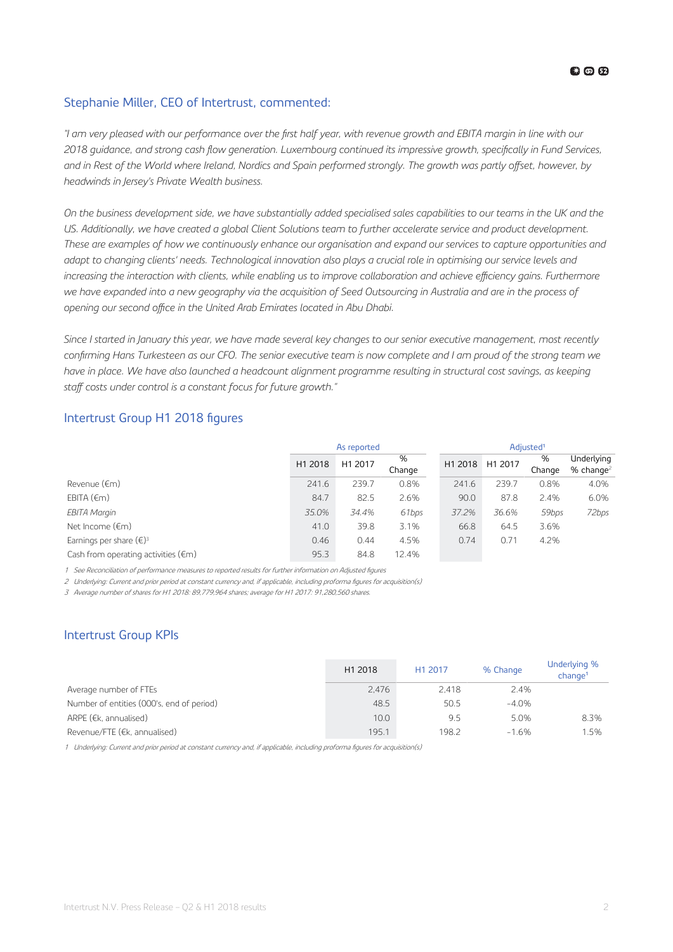### **63 @ 62**

### Stephanie Miller, CEO of Intertrust, commented:

*"I am very pleased with our performance over the first half year, with revenue growth and EBITA margin in line with our* 2018 guidance, and strong cash flow generation. Luxembourg continued its impressive growth, specifically in Fund Services, and in Rest of the World where Ireland, Nordics and Spain performed strongly. The growth was partly offset, however, by *headwinds in Jersey's Private Wealth business.*

*On the business development side, we have substantially added specialised sales capabilities to our teams in the UK and the US. Additionally, we have created a global Client Solutions team to further accelerate service and product development. These are examples of how we continuously enhance our organisation and expand our services to capture opportunities and adapt to changing clients' needs. Technological innovation also plays a crucial role in optimising our service levels and increasing the interaction with clients, while enabling us to improve collaboration and achieve efficiency gains. Furthermore we have expanded into a new geography via the acquisition of Seed Outsourcing in Australia and are in the process of* opening our second office in the United Arab Emirates located in Abu Dhabi.

*Since I started in January this year, we have made several key changes to our senior executive management, most recently* confirming Hans Turkesteen as our CFO. The senior executive team is now complete and I am proud of the strong team we *have in place. We have also launched a headcount alignment programme resulting in structural cost savings, as keeping* staff costs under control is a constant focus for future growth."

### Intertrust Group H1 2018 figures

|                                               |         | As reported |             | Adjusted <sup>1</sup> |         |             |                            |  |
|-----------------------------------------------|---------|-------------|-------------|-----------------------|---------|-------------|----------------------------|--|
|                                               | H1 2018 | H1 2017     | %<br>Change | H1 2018               | H1 2017 | %<br>Change | Underlying<br>% change $2$ |  |
| Revenue (€m)                                  | 241.6   | 239.7       | 0.8%        | 241.6                 | 239.7   | 0.8%        | 4.0%                       |  |
| EBITA $(\epsilon m)$                          | 84.7    | 82.5        | 2.6%        | 90.0                  | 87.8    | 2.4%        | 6.0%                       |  |
| EBITA Margin                                  | 35.0%   | 34.4%       | 61bps       | 37.2%                 | 36.6%   | 59bps       | 72bps                      |  |
| Net Income (€m)                               | 41.0    | 39.8        | 3.1%        | 66.8                  | 64.5    | 3.6%        |                            |  |
| Earnings per share $(\epsilon)^3$             | 0.46    | 0.44        | 4.5%        | 0.74                  | 0.71    | 4.2%        |                            |  |
| Cash from operating activities $(\epsilon m)$ | 95.3    | 84.8        | 12.4%       |                       |         |             |                            |  |

1 See Reconciliation of performance measures to reported results for further information on Adjusted figures

2 Underlying: Current and prior period at constant currency and, if applicable, including proforma figures for acquisition(s)

3 Average number of shares for H1 2018: 89,779,964 shares; average for H1 2017: 91,280,560 shares.

### Intertrust Group KPIs

|                                           | H1 2018 | H1 2017 | % Change | Underlying %<br>chance <sup>1</sup> |
|-------------------------------------------|---------|---------|----------|-------------------------------------|
| Average number of FTEs                    | 2.476   | 2.418   | 2.4%     |                                     |
| Number of entities (000's, end of period) | 48.5    | 50.5    | $-4.0%$  |                                     |
| ARPE ( $E$ , annualised)                  | 10.0    | 9.5     | 5.0%     | 8.3%                                |
| Revenue/FTE (€k, annualised)              | 195.1   | 198.2   | $-1.6%$  | 1.5%                                |

1 Underlying: Current and prior period at constant currency and, if applicable, including proforma figures for acquisition(s)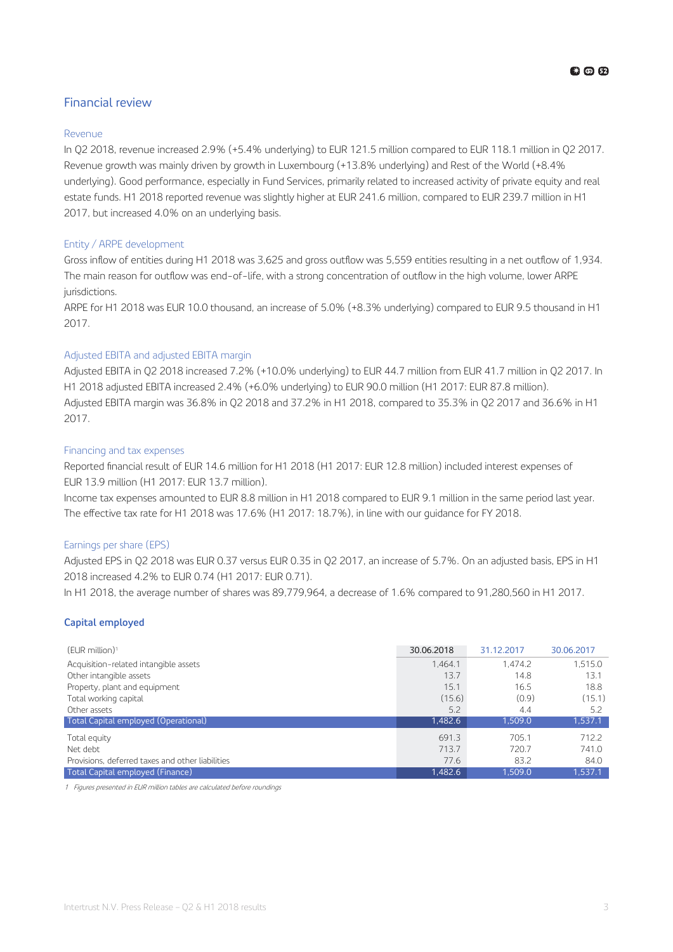### Financial review

### Revenue

In Q2 2018, revenue increased 2.9% (+5.4% underlying) to EUR 121.5 million compared to EUR 118.1 million in Q2 2017. Revenue growth was mainly driven by growth in Luxembourg (+13.8% underlying) and Rest of the World (+8.4% underlying). Good performance, especially in Fund Services, primarily related to increased activity of private equity and real estate funds. H1 2018 reported revenue was slightly higher at EUR 241.6 million, compared to EUR 239.7 million in H1 2017, but increased 4.0% on an underlying basis.

### Entity / ARPE development

Gross inflow of entities during H1 2018 was 3,625 and gross outflow was 5,559 entities resulting in a net outflow of 1,934. The main reason for outflow was end-of-life, with a strong concentration of outflow in the high volume, lower ARPE jurisdictions.

ARPE for H1 2018 was EUR 10.0 thousand, an increase of 5.0% (+8.3% underlying) compared to EUR 9.5 thousand in H1 2017.

### Adjusted EBITA and adjusted EBITA margin

Adjusted EBITA in Q2 2018 increased 7.2% (+10.0% underlying) to EUR 44.7 million from EUR 41.7 million in Q2 2017. In H1 2018 adjusted EBITA increased 2.4% (+6.0% underlying) to EUR 90.0 million (H1 2017: EUR 87.8 million). Adjusted EBITA margin was 36.8% in Q2 2018 and 37.2% in H1 2018, compared to 35.3% in Q2 2017 and 36.6% in H1 2017.

### Financing and tax expenses

Reported financial result of EUR 14.6 million for H1 2018 (H1 2017: EUR 12.8 million) included interest expenses of EUR 13.9 million (H1 2017: EUR 13.7 million).

Income tax expenses amounted to EUR 8.8 million in H1 2018 compared to EUR 9.1 million in the same period last year. The effective tax rate for H1 2018 was 17.6% (H1 2017: 18.7%), in line with our guidance for FY 2018.

### Earnings per share (EPS)

Adjusted EPS in Q2 2018 was EUR 0.37 versus EUR 0.35 in Q2 2017, an increase of 5.7%. On an adjusted basis, EPS in H1 2018 increased 4.2% to EUR 0.74 (H1 2017: EUR 0.71).

In H1 2018, the average number of shares was 89,779,964, a decrease of 1.6% compared to 91,280,560 in H1 2017.

### **Capital employed**

| $(EUR$ million) <sup>1</sup>                     | 30.06.2018 | 31.12.2017 | 30.06.2017 |
|--------------------------------------------------|------------|------------|------------|
| Acquisition-related intangible assets            | 1.464.1    | 1.474.2    | 1.515.0    |
| Other intangible assets                          | 13.7       | 14.8       | 13.1       |
| Property, plant and equipment                    | 15.1       | 16.5       | 18.8       |
| Total working capital                            | (15.6)     | (0.9)      | (15.1)     |
| Other assets                                     | 5.2        | 4.4        | 5.2        |
| Total Capital employed (Operational)             | 1,482.6    | 1.509.0    | 1.537.1    |
| Total equity                                     | 691.3      | 705.1      | 712.2      |
| Net debt                                         | 713.7      | 720.7      | 741.0      |
| Provisions, deferred taxes and other liabilities | 77.6       | 83.2       | 84.0       |
| Total Capital employed (Finance)                 | 1.482.6    | 1.509.0    | 1.537.1    |

1 Figures presented in EUR million tables are calculated before roundings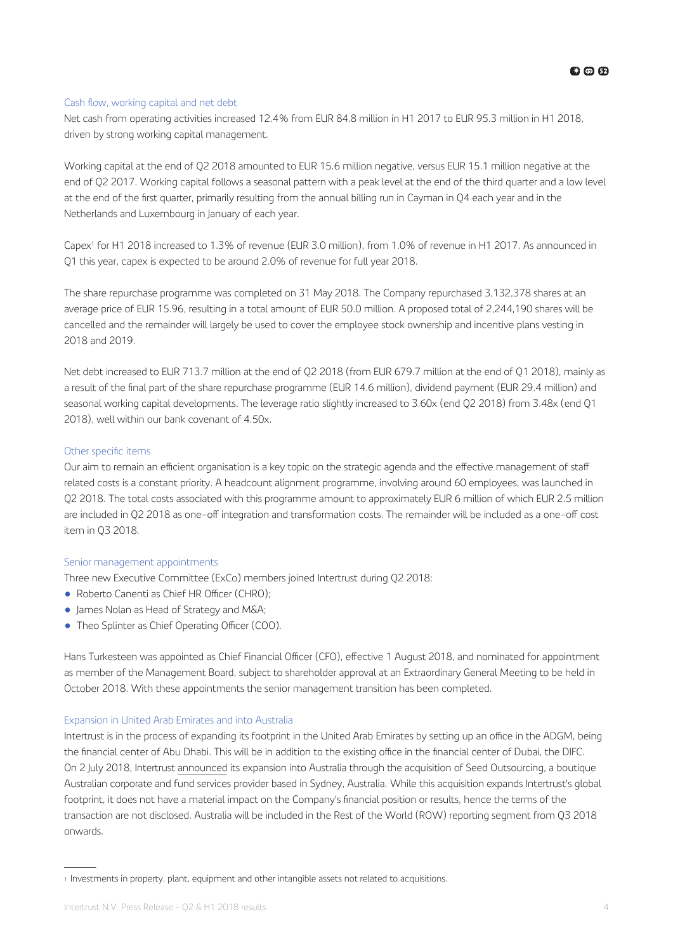### Cash flow, working capital and net debt

Net cash from operating activities increased 12.4% from EUR 84.8 million in H1 2017 to EUR 95.3 million in H1 2018, driven by strong working capital management.

Working capital at the end of Q2 2018 amounted to EUR 15.6 million negative, versus EUR 15.1 million negative at the end of Q2 2017. Working capital follows a seasonal pattern with a peak level at the end of the third quarter and a low level at the end of the first quarter, primarily resulting from the annual billing run in Cayman in Q4 each year and in the Netherlands and Luxembourg in January of each year.

Capex<sup>1</sup> for H1 2018 increased to 1.3% of revenue (EUR 3.0 million), from 1.0% of revenue in H1 2017. As announced in Q1 this year, capex is expected to be around 2.0% of revenue for full year 2018.

The share repurchase programme was completed on 31 May 2018. The Company repurchased 3,132,378 shares at an average price of EUR 15.96, resulting in a total amount of EUR 50.0 million. A proposed total of 2,244,190 shares will be cancelled and the remainder will largely be used to cover the employee stock ownership and incentive plans vesting in 2018 and 2019.

Net debt increased to EUR 713.7 million at the end of Q2 2018 (from EUR 679.7 million at the end of Q1 2018), mainly as a result of the final part of the share repurchase programme (EUR 14.6 million), dividend payment (EUR 29.4 million) and seasonal working capital developments. The leverage ratio slightly increased to 3.60x (end Q2 2018) from 3.48x (end Q1 2018), well within our bank covenant of 4.50x.

### Other specific items

Our aim to remain an efficient organisation is a key topic on the strategic agenda and the effective management of staff related costs is a constant priority. A headcount alignment programme, involving around 60 employees, was launched in Q2 2018. The total costs associated with this programme amount to approximately EUR 6 million of which EUR 2.5 million are included in Q2 2018 as one-off integration and transformation costs. The remainder will be included as a one-off cost item in Q3 2018.

### Senior management appointments

Three new Executive Committee (ExCo) members joined Intertrust during Q2 2018:

- Roberto Canenti as Chief HR Officer (CHRO);
- James Nolan as Head of Strategy and M&A;
- Theo Splinter as Chief Operating Officer (COO).

Hans Turkesteen was appointed as Chief Financial Officer (CFO), effective 1 August 2018, and nominated for appointment as member of the Management Board, subject to shareholder approval at an Extraordinary General Meeting to be held in October 2018. With these appointments the senior management transition has been completed.

### Expansion in United Arab Emirates and into Australia

Intertrust is in the process of expanding its footprint in the United Arab Emirates by setting up an office in the ADGM, being the financial center of Abu Dhabi. This will be in addition to the existing office in the financial center of Dubai, the DIFC. On 2 July 2018, Intertrust [announced](https://www.intertrustgroup.com/investors/press-releases/pr-story?ResultPageURL=http://cws.huginonline.com/I/171118/PR/201807/2202417.xml) its expansion into Australia through the acquisition of Seed Outsourcing, a boutique Australian corporate and fund services provider based in Sydney, Australia. While this acquisition expands Intertrust's global footprint, it does not have a material impact on the Company's financial position or results, hence the terms of the transaction are not disclosed. Australia will be included in the Rest of the World (ROW) reporting segment from Q3 2018 onwards.

<sup>1</sup> Investments in property, plant, equipment and other intangible assets not related to acquisitions.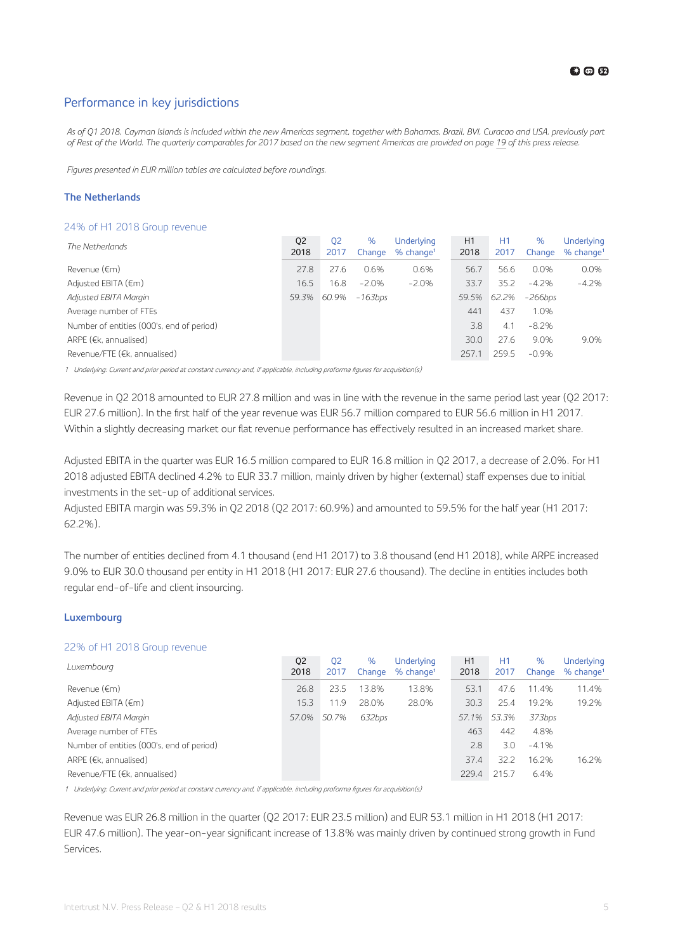### Performance in key jurisdictions

*As of Q1 2018, Cayman Islands is included within the new Americas segment, together with Bahamas, Brazil, BVI, Curacao and USA, previously part of Rest of the World. The quarterly comparables for 2017 based on the new segment Americas are provided on page [19](#page-18-0) of this press release.*

*Figures presented in EUR million tables are calculated before roundings.*

### **The Netherlands**

### 24% of H1 2018 Group revenue

| The Netherlands                           | Q <sub>2</sub><br>2018 | 02<br>2017 | %<br>Change | Underlying<br>$%$ change <sup>1</sup> | H1<br>2018 | H1<br>2017 | %<br>Change | Underlying<br>$%$ change <sup>1</sup> |
|-------------------------------------------|------------------------|------------|-------------|---------------------------------------|------------|------------|-------------|---------------------------------------|
| Revenue (€m)                              | 27.8                   | 27.6       | 0.6%        | 0.6%                                  | 56.7       | 56.6       | 0.0%        | 0.0%                                  |
| Adjusted EBITA $(\epsilon m)$             | 16.5                   | 16.8       | $-2.0%$     | $-2.0%$                               | 33.7       | 35.2       | $-4.2%$     | $-4.2%$                               |
| Adjusted EBITA Margin                     | 59.3%                  | 60.9%      | -163bps     |                                       | 59.5%      | 62.2%      | -266bps     |                                       |
| Average number of FTEs                    |                        |            |             |                                       | 441        | 437        | 1.0%        |                                       |
| Number of entities (000's, end of period) |                        |            |             |                                       | 3.8        | 4.1        | $-8.2%$     |                                       |
| ARPE ( $E$ , annualised)                  |                        |            |             |                                       | 30.0       | 27.6       | 9.0%        | 9.0%                                  |
| Revenue/FTE (€k, annualised)              |                        |            |             |                                       | 257.1      | 259.5      | $-0.9%$     |                                       |

1 Underlying: Current and prior period at constant currency and, if applicable, including proforma figures for acquisition(s)

Revenue in Q2 2018 amounted to EUR 27.8 million and was in line with the revenue in the same period last year (Q2 2017: EUR 27.6 million). In the first half of the year revenue was EUR 56.7 million compared to EUR 56.6 million in H1 2017. Within a slightly decreasing market our flat revenue performance has effectively resulted in an increased market share.

Adjusted EBITA in the quarter was EUR 16.5 million compared to EUR 16.8 million in Q2 2017, a decrease of 2.0%. For H1 2018 adjusted EBITA declined 4.2% to EUR 33.7 million, mainly driven by higher (external) staff expenses due to initial investments in the set-up of additional services.

Adjusted EBITA margin was 59.3% in Q2 2018 (Q2 2017: 60.9%) and amounted to 59.5% for the half year (H1 2017: 62.2%).

The number of entities declined from 4.1 thousand (end H1 2017) to 3.8 thousand (end H1 2018), while ARPE increased 9.0% to EUR 30.0 thousand per entity in H1 2018 (H1 2017: EUR 27.6 thousand). The decline in entities includes both regular end-of-life and client insourcing.

### **Luxembourg**

### 22% of H1 2018 Group revenue

| Luxembourg                                | Q <sub>2</sub><br>2018 | 02<br>2017 | %<br>Change | Underlying<br>$%$ change <sup>1</sup> | H1<br>2018 | H1<br>2017 | %<br>Change | Underlying<br>$%$ change <sup>1</sup> |
|-------------------------------------------|------------------------|------------|-------------|---------------------------------------|------------|------------|-------------|---------------------------------------|
| Revenue (€m)                              | 26.8                   | 23.5       | 13.8%       | 13.8%                                 | 53.1       | 47.6       | 11.4%       | 11.4%                                 |
| Adjusted EBITA (€m)                       | 15.3                   | 11.9       | 28.0%       | 28.0%                                 | 30.3       | 25.4       | 19.2%       | 19.2%                                 |
| Adjusted EBITA Margin                     | 57.0%                  | 50.7%      | 632bps      |                                       | 57.1%      | 53.3%      | 373bps      |                                       |
| Average number of FTEs                    |                        |            |             |                                       | 463        | 442        | 4.8%        |                                       |
| Number of entities (000's, end of period) |                        |            |             |                                       | 2.8        | 3.0        | $-4.1%$     |                                       |
| ARPE $(\epsilon k$ , annualised)          |                        |            |             |                                       | 37.4       | 32.2       | 16.2%       | 16.2%                                 |
| Revenue/FTE (€k, annualised)              |                        |            |             |                                       | 229.4      | 215.7      | 6.4%        |                                       |

1 Underlying: Current and prior period at constant currency and, if applicable, including proforma figures for acquisition(s)

Revenue was EUR 26.8 million in the quarter (Q2 2017: EUR 23.5 million) and EUR 53.1 million in H1 2018 (H1 2017: EUR 47.6 million). The year-on-year significant increase of 13.8% was mainly driven by continued strong growth in Fund Services.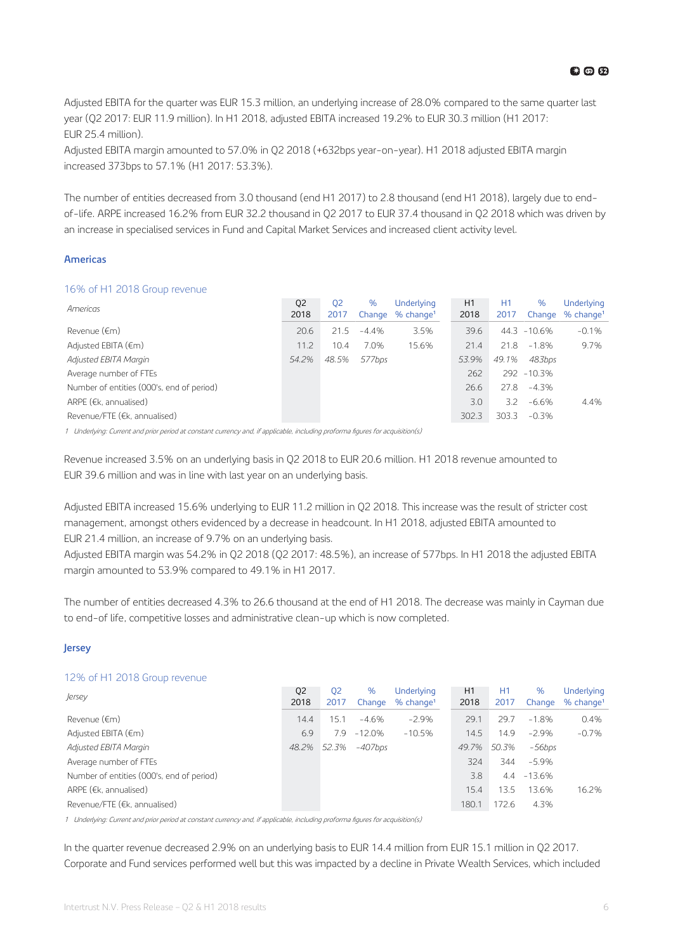**00田** 

Adjusted EBITA for the quarter was EUR 15.3 million, an underlying increase of 28.0% compared to the same quarter last year (Q2 2017: EUR 11.9 million). In H1 2018, adjusted EBITA increased 19.2% to EUR 30.3 million (H1 2017: EUR 25.4 million).

Adjusted EBITA margin amounted to 57.0% in Q2 2018 (+632bps year-on-year). H1 2018 adjusted EBITA margin increased 373bps to 57.1% (H1 2017: 53.3%).

The number of entities decreased from 3.0 thousand (end H1 2017) to 2.8 thousand (end H1 2018), largely due to endof-life. ARPE increased 16.2% from EUR 32.2 thousand in Q2 2017 to EUR 37.4 thousand in Q2 2018 which was driven by an increase in specialised services in Fund and Capital Market Services and increased client activity level.

### **Americas**

### 16% of H1 2018 Group revenue

| Americas                                  | Q <sub>2</sub><br>2018 | 02<br>2017 | %       | Underlying<br>Change % change <sup>1</sup> | H1<br>2018 | H1<br>2017 | %<br>Change | Underlying<br>$%$ change <sup>1</sup> |
|-------------------------------------------|------------------------|------------|---------|--------------------------------------------|------------|------------|-------------|---------------------------------------|
| Revenue (€m)                              | 20.6                   | 21.5       | $-4.4%$ | 3.5%                                       | 39.6       | 44.3       | $-10.6\%$   | $-0.1%$                               |
| Adjusted EBITA $(\epsilon m)$             | 11.2                   | 10.4       | 7.0%    | 15.6%                                      | 21.4       | 21.8       | $-1.8%$     | 9.7%                                  |
| Adjusted EBITA Margin                     | 54.2%                  | 48.5%      | 577bps  |                                            | 53.9%      | 49.1%      | 483bps      |                                       |
| Average number of FTEs                    |                        |            |         |                                            | 262        |            | 292 -10.3%  |                                       |
| Number of entities (000's, end of period) |                        |            |         |                                            | 26.6       | 27.8       | $-4.3%$     |                                       |
| ARPE ( $E$ , annualised)                  |                        |            |         |                                            | 3.0        | 3.2        | -6.6%       | 4.4%                                  |
| Revenue/FTE (€k, annualised)              |                        |            |         |                                            | 302.3      | 303.3      | $-0.3%$     |                                       |

1 Underlying: Current and prior period at constant currency and, if applicable, including proforma figures for acquisition(s)

Revenue increased 3.5% on an underlying basis in Q2 2018 to EUR 20.6 million. H1 2018 revenue amounted to EUR 39.6 million and was in line with last year on an underlying basis.

Adjusted EBITA increased 15.6% underlying to EUR 11.2 million in Q2 2018. This increase was the result of stricter cost management, amongst others evidenced by a decrease in headcount. In H1 2018, adjusted EBITA amounted to EUR 21.4 million, an increase of 9.7% on an underlying basis.

Adjusted EBITA margin was 54.2% in Q2 2018 (Q2 2017: 48.5%), an increase of 577bps. In H1 2018 the adjusted EBITA margin amounted to 53.9% compared to 49.1% in H1 2017.

The number of entities decreased 4.3% to 26.6 thousand at the end of H1 2018. The decrease was mainly in Cayman due to end-of life, competitive losses and administrative clean-up which is now completed.

### **Jersey**

### 12% of H1 2018 Group revenue

| Jersey                                    | Q <sub>2</sub><br>2018 | 02<br>2017 | %<br>Change | Underlying<br>$%$ change <sup>1</sup> | H1<br>2018 | H1<br>2017 | $\%$<br>Change | Underlying<br>$%$ change <sup>1</sup> |
|-------------------------------------------|------------------------|------------|-------------|---------------------------------------|------------|------------|----------------|---------------------------------------|
| Revenue (€m)                              | 14.4                   | 15.1       | $-4.6%$     | $-2.9\%$                              | 29.1       | 29.7       | $-1.8%$        | 0.4%                                  |
| Adjusted EBITA $(\epsilon m)$             | 6.9                    | 7.9        | $-12.0%$    | $-10.5%$                              | 14.5       | 14.9       | $-2.9%$        | $-0.7%$                               |
| Adjusted EBITA Margin                     | 48.2%                  | 52.3%      | $-407$ bps  |                                       | 49.7%      | 50.3%      | -56bps         |                                       |
| Average number of FTEs                    |                        |            |             |                                       | 324        | 344        | -5.9%          |                                       |
| Number of entities (000's, end of period) |                        |            |             |                                       | 3.8        | 4.4        | $-13.6%$       |                                       |
| ARPE ( $E$ , annualised)                  |                        |            |             |                                       | 15.4       | 13.5       | 13.6%          | 16.2%                                 |
| Revenue/FTE (€k, annualised)              |                        |            |             |                                       | 180.1      | 172.6      | 4.3%           |                                       |

1 Underlying: Current and prior period at constant currency and, if applicable, including proforma figures for acquisition(s)

In the quarter revenue decreased 2.9% on an underlying basis to EUR 14.4 million from EUR 15.1 million in Q2 2017. Corporate and Fund services performed well but this was impacted by a decline in Private Wealth Services, which included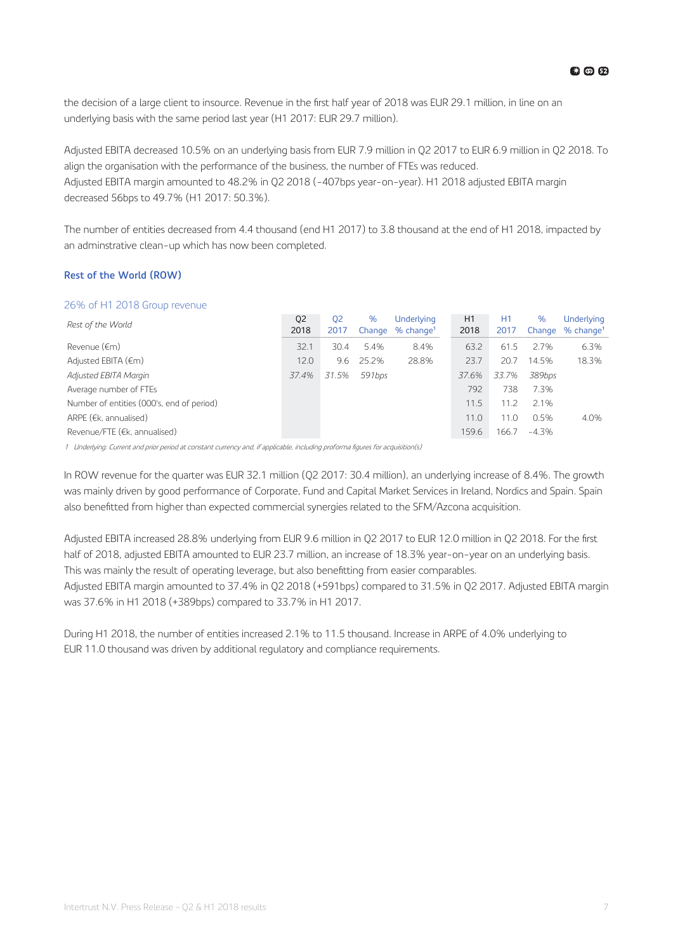the decision of a large client to insource. Revenue in the first half year of 2018 was EUR 29.1 million, in line on an underlying basis with the same period last year (H1 2017: EUR 29.7 million).

Adjusted EBITA decreased 10.5% on an underlying basis from EUR 7.9 million in Q2 2017 to EUR 6.9 million in Q2 2018. To align the organisation with the performance of the business, the number of FTEs was reduced. Adjusted EBITA margin amounted to 48.2% in Q2 2018 (-407bps year-on-year). H1 2018 adjusted EBITA margin decreased 56bps to 49.7% (H1 2017: 50.3%).

The number of entities decreased from 4.4 thousand (end H1 2017) to 3.8 thousand at the end of H1 2018, impacted by an adminstrative clean-up which has now been completed.

### **Rest of the World (ROW)**

### 26% of H1 2018 Group revenue

| Rest of the World                         | Q <sub>2</sub><br>2018 | 02<br>2017 | %      | Underlying<br>Change % change <sup>1</sup> | H1<br>2018 | H1<br>2017 | %<br>Change | Underlying<br>$%$ change <sup>1</sup> |
|-------------------------------------------|------------------------|------------|--------|--------------------------------------------|------------|------------|-------------|---------------------------------------|
| Revenue (€m)                              | 32.1                   | 30.4       | 5.4%   | 8.4%                                       | 63.2       | 61.5       | 2.7%        | 6.3%                                  |
| Adjusted EBITA $(\epsilon m)$             | 12.0                   | 9.6        | 25.2%  | 28.8%                                      | 23.7       | 20.7       | 14.5%       | 18.3%                                 |
| Adjusted EBITA Margin                     | 37.4%                  | 31.5%      | 591bps |                                            | 37.6%      | 33.7%      | 389bps      |                                       |
| Average number of FTEs                    |                        |            |        |                                            | 792        | 738        | 7.3%        |                                       |
| Number of entities (000's, end of period) |                        |            |        |                                            | 11.5       | 11.2       | 2.1%        |                                       |
| ARPE ( $E$ , annualised)                  |                        |            |        |                                            | 11.0       | 11.0       | 0.5%        | 4.0%                                  |
| Revenue/FTE (€k, annualised)              |                        |            |        |                                            | 159.6      | 166.7      | $-4.3%$     |                                       |

1 Underlying: Current and prior period at constant currency and, if applicable, including proforma figures for acquisition(s)

In ROW revenue for the quarter was EUR 32.1 million (Q2 2017: 30.4 million), an underlying increase of 8.4%. The growth was mainly driven by good performance of Corporate, Fund and Capital Market Services in Ireland, Nordics and Spain. Spain also benefitted from higher than expected commercial synergies related to the SFM/Azcona acquisition.

Adjusted EBITA increased 28.8% underlying from EUR 9.6 million in Q2 2017 to EUR 12.0 million in Q2 2018. For the first half of 2018, adjusted EBITA amounted to EUR 23.7 million, an increase of 18.3% year-on-year on an underlying basis. This was mainly the result of operating leverage, but also benefitting from easier comparables.

Adjusted EBITA margin amounted to 37.4% in Q2 2018 (+591bps) compared to 31.5% in Q2 2017. Adjusted EBITA margin was 37.6% in H1 2018 (+389bps) compared to 33.7% in H1 2017.

During H1 2018, the number of entities increased 2.1% to 11.5 thousand. Increase in ARPE of 4.0% underlying to EUR 11.0 thousand was driven by additional regulatory and compliance requirements.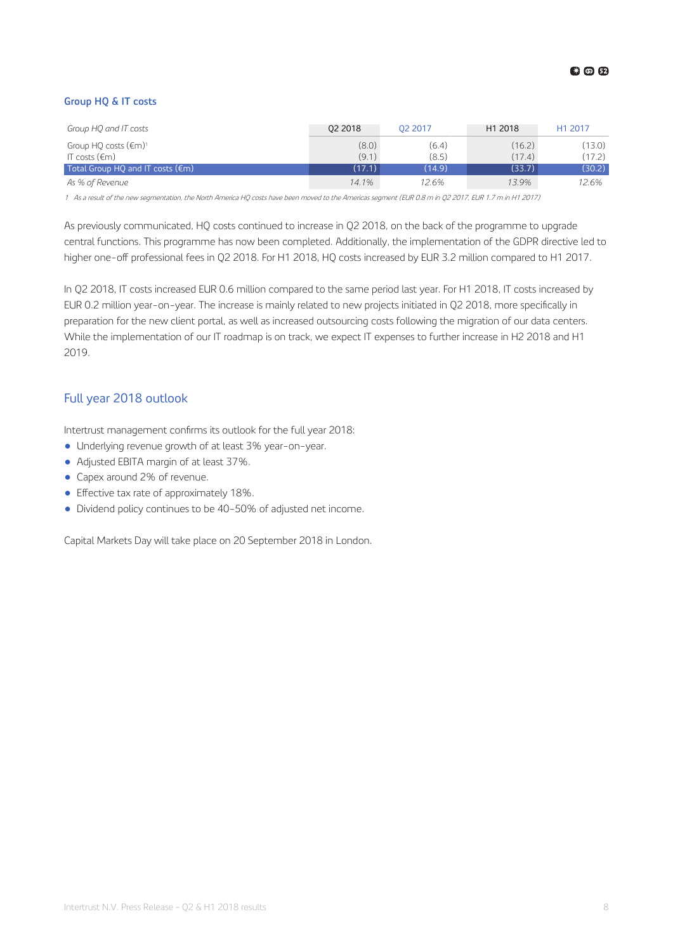### **Group HQ & IT costs**

| Group HQ and IT costs                      | 02 2018 | 02 2017 | H1 2018 | H <sub>1</sub> 2017 |
|--------------------------------------------|---------|---------|---------|---------------------|
| Group HQ costs $(\epsilon m)^1$            | (8.0)   | (6.4)   | (16.2)  | (13.0)              |
| IT costs ( $\epsilon$ m)                   | (9.1)   | (8.5)   | (17.4)  | (17.2)              |
| Total Group HQ and IT costs $(\epsilon m)$ | (17.1)  | (14.9)  | (33.7)  | (30.2)              |
| As % of Revenue                            | 14.1%   | 12.6%   | 13.9%   | 12.6%               |

<sup>1</sup> As a result of the new segmentation, the North America HQ costs have been moved to the Americas segment (EUR 0.8 m in Q2 2017, EUR 1.7 m in H1 2017)

As previously communicated, HQ costs continued to increase in Q2 2018, on the back of the programme to upgrade central functions. This programme has now been completed. Additionally, the implementation of the GDPR directive led to higher one-off professional fees in Q2 2018. For H1 2018, HQ costs increased by EUR 3.2 million compared to H1 2017.

In Q2 2018, IT costs increased EUR 0.6 million compared to the same period last year. For H1 2018, IT costs increased by EUR 0.2 million year-on-year. The increase is mainly related to new projects initiated in Q2 2018, more specifically in preparation for the new client portal, as well as increased outsourcing costs following the migration of our data centers. While the implementation of our IT roadmap is on track, we expect IT expenses to further increase in H2 2018 and H1 2019.

### Full year 2018 outlook

Intertrust management confirms its outlook for the full year 2018:

- Underlying revenue growth of at least 3% year-on-year.
- Adjusted EBITA margin of at least 37%.
- Capex around 2% of revenue.
- $\bullet$  Effective tax rate of approximately 18%.
- Dividend policy continues to be 40-50% of adjusted net income.

Capital Markets Day will take place on 20 September 2018 in London.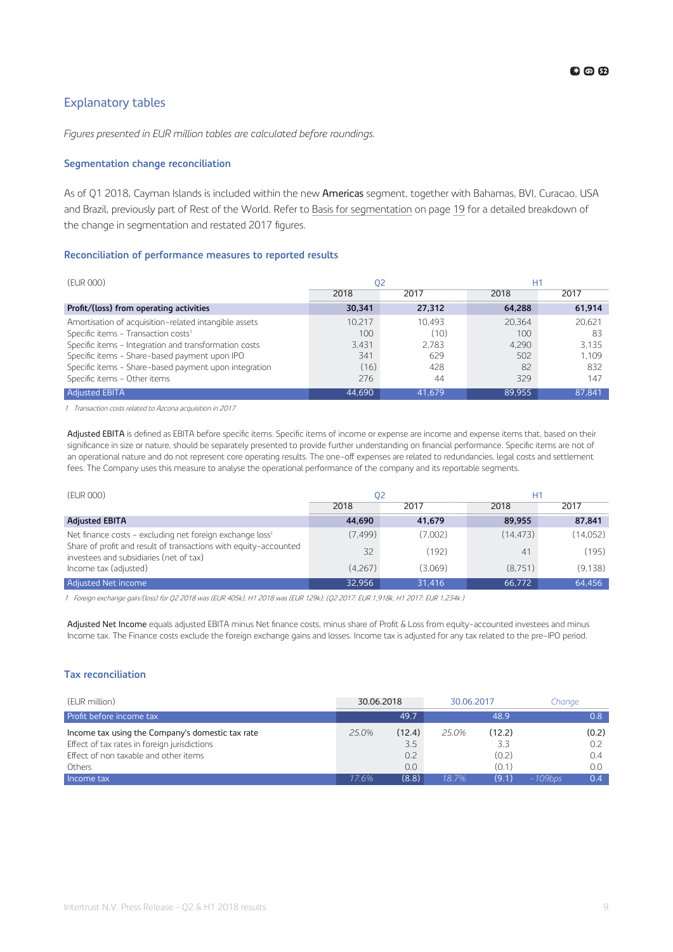### <span id="page-8-0"></span>Explanatory tables

*Figures presented in EUR million tables are calculated before roundings.*

### **Segmentation change reconciliation**

As of Q1 2018, Cayman Islands is included within the new Americas segment, together with Bahamas, BVI, Curacao, USA and Brazil, previously part of Rest of the World. Refer to [Basis for segmentation](#page-18-0) on page [19](#page-18-0) for a detailed breakdown of the change in segmentation and restated 2017 figures.

### **Reconciliation of performance measures to reported results**

| (EUR 000)                                             | 02     |        | H1     |        |  |  |
|-------------------------------------------------------|--------|--------|--------|--------|--|--|
|                                                       | 2018   | 2017   | 2018   | 2017   |  |  |
| Profit/(loss) from operating activities               | 30,341 | 27,312 | 64,288 | 61,914 |  |  |
| Amortisation of acquisition-related intangible assets | 10.217 | 10.493 | 20.364 | 20.621 |  |  |
| Specific items - Transaction costs <sup>1</sup>       | 100    | (10)   | 100    | 83     |  |  |
| Specific items - Integration and transformation costs | 3.431  | 2.783  | 4.290  | 3.135  |  |  |
| Specific items - Share-based payment upon IPO         | 341    | 629    | 502    | 1.109  |  |  |
| Specific items - Share-based payment upon integration | (16)   | 428    | 82     | 832    |  |  |
| Specific items - Other items                          | 276    | 44     | 329    | 147    |  |  |
| <b>Adjusted EBITA</b>                                 | 44,690 | 41.679 | 89.955 | 87.841 |  |  |

1 Transaction costs related to Azcona acquisition in 2017

Adjusted EBITA is defined as EBITA before specific items. Specific items of income or expense are income and expense items that, based on their significance in size or nature, should be separately presented to provide further understanding on financial performance. Specific items are not of an operational nature and do not represent core operating results. The one-off expenses are related to redundancies, legal costs and settlement fees. The Company uses this measure to analyse the operational performance of the company and its reportable segments.

| (EUR 000)                                                                                                   | 02      |         |           | Η1       |  |  |
|-------------------------------------------------------------------------------------------------------------|---------|---------|-----------|----------|--|--|
|                                                                                                             | 2018    | 2017    | 2018      | 2017     |  |  |
| <b>Adjusted EBITA</b>                                                                                       | 44,690  | 41,679  | 89,955    | 87,841   |  |  |
| Net finance costs - excluding net foreign exchange loss <sup>1</sup>                                        | (7.499) | (7,002) | (14, 473) | (14,052) |  |  |
| Share of profit and result of transactions with equity-accounted<br>investees and subsidiaries (net of tax) | 32      | (192)   | 41        | (195)    |  |  |
| Income tax (adjusted)                                                                                       | (4.267) | (3.069) | (8.751)   | (9.138)  |  |  |
| <b>Adjusted Net income</b>                                                                                  | 32,956  | 31,416  | 66,772    | 64,456   |  |  |

<sup>1</sup> Foreign exchange gain/(loss) for Q2 2018 was (EUR 405k), H1 2018 was (EUR 129k); (Q2 2017: EUR 1,918k, H1 2017: EUR 1,234k )

Adjusted Net Income equals adjusted EBITA minus Net finance costs, minus share of Profit & Loss from equity-accounted investees and minus Income tax. The Finance costs exclude the foreign exchange gains and losses. Income tax is adjusted for any tax related to the pre-IPO period.

### **Tax reconciliation**

| (EUR million)                                    | 30.06.2018 |        | 30.06.2017 |        | Chanae     |       |
|--------------------------------------------------|------------|--------|------------|--------|------------|-------|
| Profit before income tax                         |            | 49.7   |            | 48.9   |            | 0.8   |
| Income tax using the Company's domestic tax rate | $25.0\%$   | (12.4) | 25.0%      | (12.2) |            | (0.2) |
| Effect of tax rates in foreign jurisdictions     |            | 3.5    |            | 3.3    |            | 0.2   |
| Effect of non taxable and other items            |            | 0.2    |            | (0.2)  |            | 0.4   |
| Others                                           |            | 0.0    |            | (0.1)  |            | 0.0   |
| Income tax                                       | 17.6%      | (8.8)  | 18.7%      | (9.1)  | $-109$ bps | 0.4   |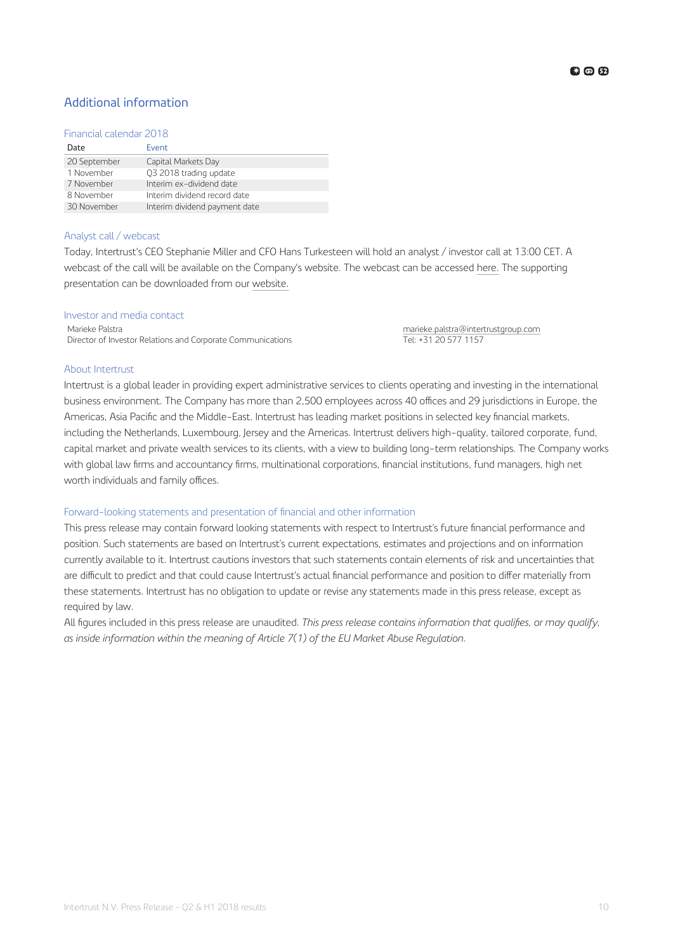### Additional information

### Financial calendar 2018

| Date         | Event                         |
|--------------|-------------------------------|
| 20 September | Capital Markets Day           |
| 1 November   | Q3 2018 trading update        |
| 7 November   | Interim ex-dividend date      |
| 8 November   | Interim dividend record date  |
| 30 November  | Interim dividend payment date |

### Analyst call / webcast

Today, Intertrust's CEO Stephanie Miller and CFO Hans Turkesteen will hold an analyst / investor call at 13:00 CET. A webcast of the call will be available on the Company's website. The webcast can be accessed [here.](https://ssl.webinar.nl/intertrustgroupinvestors/#!/intertrustgroupinvestors/20180802_1) The supporting presentation can be downloaded from our [website.](https://www.intertrustgroup.com/investors)

### Investor and media contact

Marieke Palstra<br>Director of Investor Relations and Corporate Communications **[marieke.palstra@intertrustgroup.com](mailto:marieke.palstra@intertrustgroup.com)**<br>Tel: +31 20 577 1157 Director of Investor Relations and Corporate Communications

### About Intertrust

Intertrust is a global leader in providing expert administrative services to clients operating and investing in the international business environment. The Company has more than 2,500 employees across 40 offices and 29 jurisdictions in Europe, the Americas, Asia Pacific and the Middle-East. Intertrust has leading market positions in selected key financial markets, including the Netherlands, Luxembourg, Jersey and the Americas. Intertrust delivers high-quality, tailored corporate, fund, capital market and private wealth services to its clients, with a view to building long-term relationships. The Company works with global law firms and accountancy firms, multinational corporations, financial institutions, fund managers, high net worth individuals and family offices.

### Forward-looking statements and presentation of financial and other information

This press release may contain forward looking statements with respect to Intertrust's future financial performance and position. Such statements are based on Intertrust's current expectations, estimates and projections and on information currently available to it. Intertrust cautions investors that such statements contain elements of risk and uncertainties that are difficult to predict and that could cause Intertrust's actual financial performance and position to differ materially from these statements. Intertrust has no obligation to update or revise any statements made in this press release, except as required by law.

All figures included in this press release are unaudited. *This press release contains information that qualifies, or may qualify, as inside information within the meaning of Article 7(1) of the EU Market Abuse Regulation.*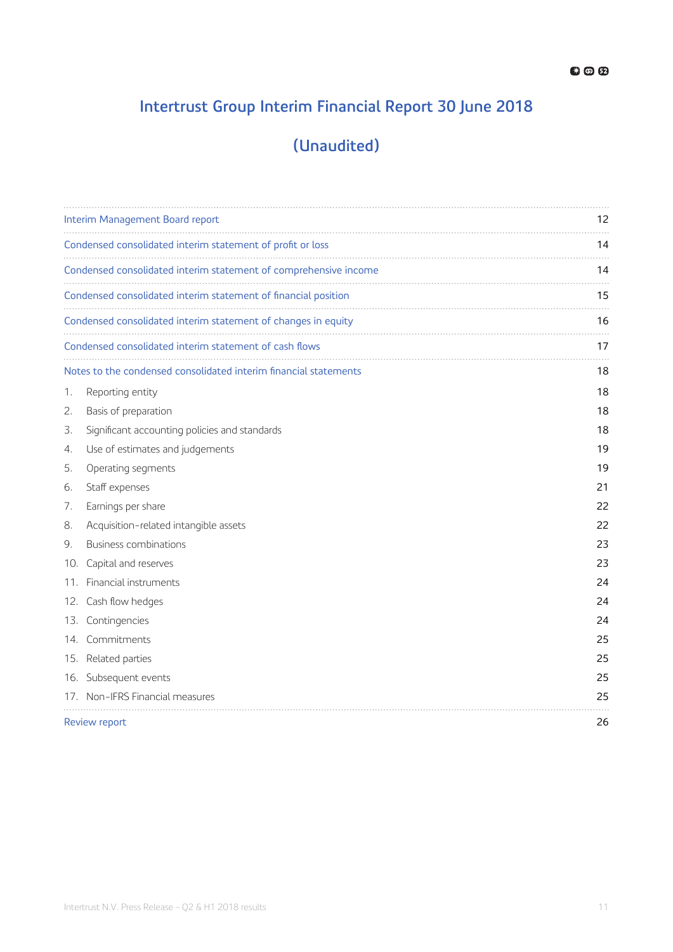### **Intertrust Group Interim Financial Report 30 June 2018**

### **(Unaudited)**

|     | Interim Management Board report                                  | 12 |
|-----|------------------------------------------------------------------|----|
|     | Condensed consolidated interim statement of profit or loss       | 14 |
|     | Condensed consolidated interim statement of comprehensive income | 14 |
|     | Condensed consolidated interim statement of financial position   | 15 |
|     | Condensed consolidated interim statement of changes in equity    | 16 |
|     | Condensed consolidated interim statement of cash flows           | 17 |
|     | Notes to the condensed consolidated interim financial statements | 18 |
| 1.  | Reporting entity                                                 | 18 |
| 2.  | Basis of preparation                                             | 18 |
| 3.  | Significant accounting policies and standards                    | 18 |
| 4.  | Use of estimates and judgements                                  | 19 |
| 5.  | Operating segments                                               | 19 |
| 6.  | Staff expenses                                                   | 21 |
| 7.  | Earnings per share                                               | 22 |
| 8.  | Acquisition-related intangible assets                            | 22 |
| 9.  | <b>Business combinations</b>                                     | 23 |
| 10. | Capital and reserves                                             | 23 |
| 11. | Financial instruments                                            | 24 |
|     | 12. Cash flow hedges                                             | 24 |
|     | 13. Contingencies                                                | 24 |
|     | 14. Commitments                                                  | 25 |
|     | 15. Related parties                                              | 25 |
|     | 16. Subsequent events                                            | 25 |
|     | 17. Non-IFRS Financial measures                                  | 25 |
|     | Review report                                                    | 26 |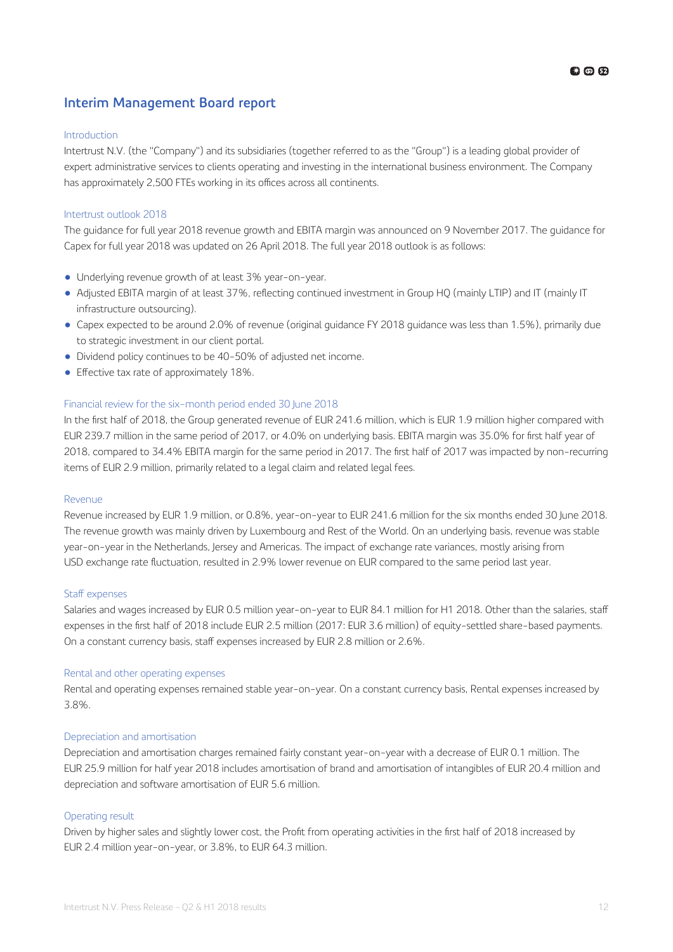### <span id="page-11-0"></span>**Interim Management Board report**

### Introduction

Intertrust N.V. (the "Company") and its subsidiaries (together referred to as the "Group") is a leading global provider of expert administrative services to clients operating and investing in the international business environment. The Company has approximately 2,500 FTEs working in its offices across all continents.

### Intertrust outlook 2018

The guidance for full year 2018 revenue growth and EBITA margin was announced on 9 November 2017. The guidance for Capex for full year 2018 was updated on 26 April 2018. The full year 2018 outlook is as follows:

- Underlying revenue growth of at least 3% year-on-year.
- Adjusted EBITA margin of at least 37%, reflecting continued investment in Group HQ (mainly LTIP) and IT (mainly IT infrastructure outsourcing).
- Capex expected to be around 2.0% of revenue (original guidance FY 2018 guidance was less than 1.5%), primarily due to strategic investment in our client portal.
- Dividend policy continues to be 40-50% of adjusted net income.
- $\bullet$  Effective tax rate of approximately 18%.

### Financial review for the six-month period ended 30 June 2018

In the first half of 2018, the Group generated revenue of EUR 241.6 million, which is EUR 1.9 million higher compared with EUR 239.7 million in the same period of 2017, or 4.0% on underlying basis. EBITA margin was 35.0% for first half year of 2018, compared to 34.4% EBITA margin for the same period in 2017. The first half of 2017 was impacted by non-recurring items of EUR 2.9 million, primarily related to a legal claim and related legal fees.

### Revenue

Revenue increased by EUR 1.9 million, or 0.8%, year-on-year to EUR 241.6 million for the six months ended 30 June 2018. The revenue growth was mainly driven by Luxembourg and Rest of the World. On an underlying basis, revenue was stable year-on-year in the Netherlands, Jersey and Americas. The impact of exchange rate variances, mostly arising from USD exchange rate fluctuation, resulted in 2.9% lower revenue on EUR compared to the same period last year.

### Staff expenses

Salaries and wages increased by EUR 0.5 million year-on-year to EUR 84.1 million for H1 2018. Other than the salaries, staff expenses in the first half of 2018 include EUR 2.5 million (2017: EUR 3.6 million) of equity-settled share-based payments. On a constant currency basis, staff expenses increased by EUR 2.8 million or 2.6%.

### Rental and other operating expenses

Rental and operating expenses remained stable year-on-year. On a constant currency basis, Rental expenses increased by 3.8%.

### Depreciation and amortisation

Depreciation and amortisation charges remained fairly constant year-on-year with a decrease of EUR 0.1 million. The EUR 25.9 million for half year 2018 includes amortisation of brand and amortisation of intangibles of EUR 20.4 million and depreciation and software amortisation of EUR 5.6 million.

### Operating result

Driven by higher sales and slightly lower cost, the Profit from operating activities in the first half of 2018 increased by EUR 2.4 million year-on-year, or 3.8%, to EUR 64.3 million.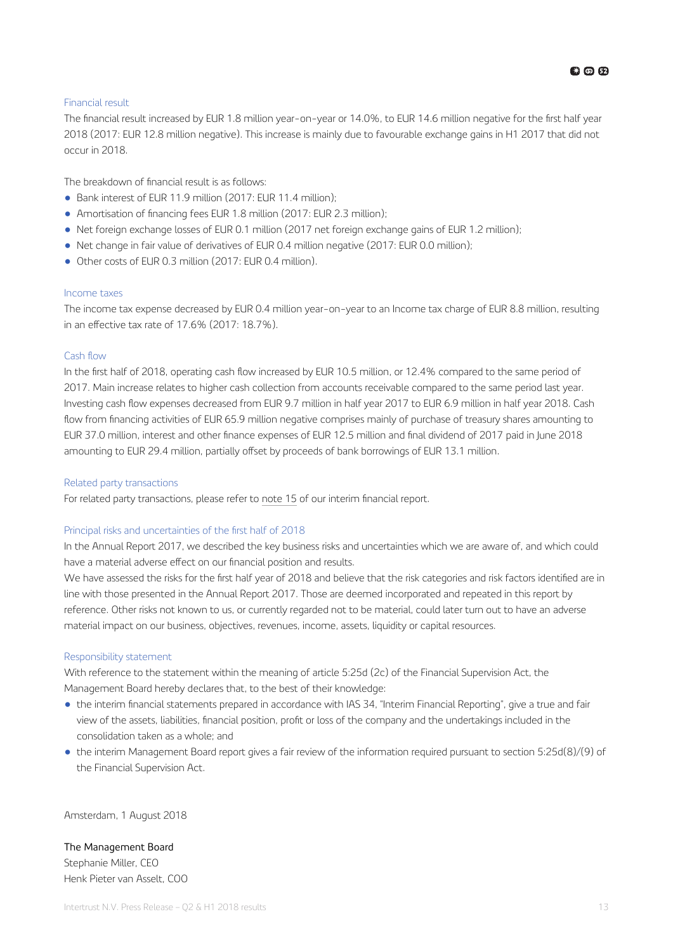### Financial result

The financial result increased by EUR 1.8 million year-on-year or 14.0%, to EUR 14.6 million negative for the first half year 2018 (2017: EUR 12.8 million negative). This increase is mainly due to favourable exchange gains in H1 2017 that did not occur in 2018.

The breakdown of financial result is as follows:

- Bank interest of EUR 11.9 million (2017: EUR 11.4 million);
- Amortisation of financing fees EUR 1.8 million (2017: EUR 2.3 million);
- Net foreign exchange losses of EUR 0.1 million (2017 net foreign exchange gains of EUR 1.2 million);
- Net change in fair value of derivatives of EUR 0.4 million negative (2017: EUR 0.0 million);
- Other costs of EUR 0.3 million (2017: EUR 0.4 million).

### Income taxes

The income tax expense decreased by EUR 0.4 million year-on-year to an Income tax charge of EUR 8.8 million, resulting in an effective tax rate of  $17.6\%$  (2017: 18.7%).

### Cash flow

In the first half of 2018, operating cash flow increased by EUR 10.5 million, or 12.4% compared to the same period of 2017. Main increase relates to higher cash collection from accounts receivable compared to the same period last year. Investing cash flow expenses decreased from EUR 9.7 million in half year 2017 to EUR 6.9 million in half year 2018. Cash flow from financing activities of EUR 65.9 million negative comprises mainly of purchase of treasury shares amounting to EUR 37.0 million, interest and other finance expenses of EUR 12.5 million and final dividend of 2017 paid in June 2018 amounting to EUR 29.4 million, partially offset by proceeds of bank borrowings of EUR 13.1 million.

### Related party transactions

For related party transactions, please refer to [note 15](#page-24-0) of our interim financial report.

### Principal risks and uncertainties of the first half of 2018

In the Annual Report 2017, we described the key business risks and uncertainties which we are aware of, and which could have a material adverse effect on our financial position and results.

We have assessed the risks for the first half year of 2018 and believe that the risk categories and risk factors identified are in line with those presented in the Annual Report 2017. Those are deemed incorporated and repeated in this report by reference. Other risks not known to us, or currently regarded not to be material, could later turn out to have an adverse material impact on our business, objectives, revenues, income, assets, liquidity or capital resources.

### Responsibility statement

With reference to the statement within the meaning of article 5:25d (2c) of the Financial Supervision Act, the Management Board hereby declares that, to the best of their knowledge:

- the interim financial statements prepared in accordance with IAS 34, "Interim Financial Reporting", give a true and fair view of the assets, liabilities, financial position, profit or loss of the company and the undertakings included in the consolidation taken as a whole; and
- the interim Management Board report gives a fair review of the information required pursuant to section 5:25d(8)/(9) of the Financial Supervision Act.

Amsterdam, 1 August 2018

### The Management Board

Stephanie Miller, CEO Henk Pieter van Asselt, COO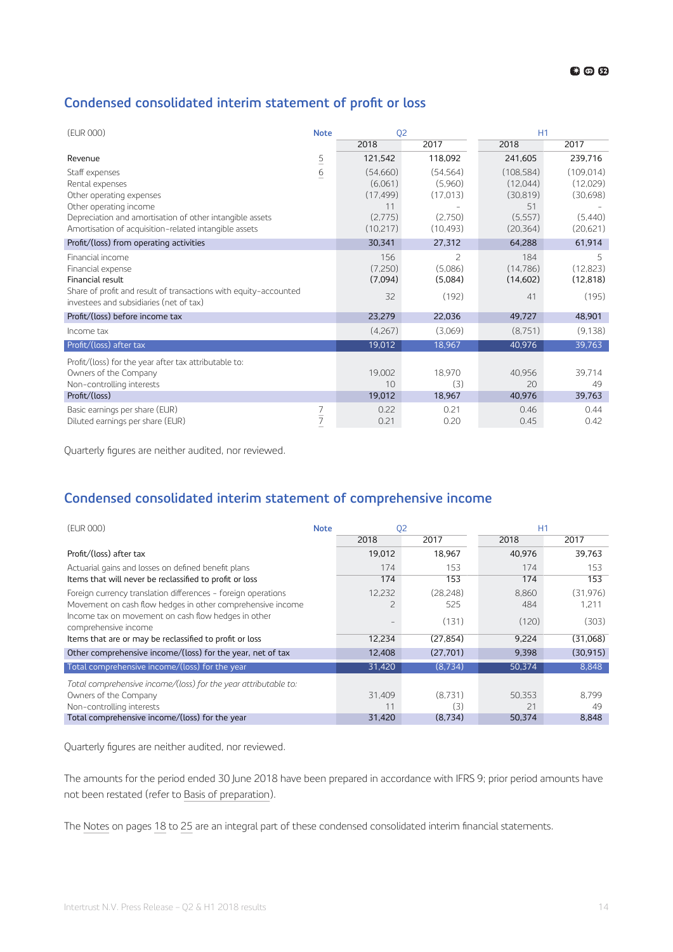### <span id="page-13-0"></span>**Condensed consolidated interim statement of profit or loss**

| (EUR 000)                                                                                                                                                                                                    |                 | Q <sub>2</sub>                                                |                                                           | H1                                                                 |                                                           |  |  |
|--------------------------------------------------------------------------------------------------------------------------------------------------------------------------------------------------------------|-----------------|---------------------------------------------------------------|-----------------------------------------------------------|--------------------------------------------------------------------|-----------------------------------------------------------|--|--|
|                                                                                                                                                                                                              |                 | 2018                                                          | 2017                                                      | 2018                                                               | 2017                                                      |  |  |
| Revenue                                                                                                                                                                                                      | $\overline{5}$  | 121,542                                                       | 118,092                                                   | 241,605                                                            | 239,716                                                   |  |  |
| Staff expenses<br>Rental expenses<br>Other operating expenses<br>Other operating income<br>Depreciation and amortisation of other intangible assets<br>Amortisation of acquisition-related intangible assets | $\underline{6}$ | (54,660)<br>(6,061)<br>(17, 499)<br>11<br>(2,775)<br>(10,217) | (54, 564)<br>(5,960)<br>(17, 013)<br>(2,750)<br>(10, 493) | (108, 584)<br>(12,044)<br>(30, 819)<br>51<br>(5, 557)<br>(20, 364) | (109, 014)<br>(12,029)<br>(30,698)<br>(5,440)<br>(20,621) |  |  |
| Profit/(loss) from operating activities                                                                                                                                                                      |                 | 30,341                                                        | 27,312                                                    | 64,288                                                             | 61,914                                                    |  |  |
| Financial income<br>Financial expense<br>Financial result<br>Share of profit and result of transactions with equity-accounted<br>investees and subsidiaries (net of tax)                                     |                 | 156<br>(7,250)<br>(7,094)<br>32                               | $\overline{\phantom{a}}$<br>(5,086)<br>(5,084)<br>(192)   | 184<br>(14, 786)<br>(14,602)<br>41                                 | 5<br>(12, 823)<br>(12, 818)<br>(195)                      |  |  |
| Profit/(loss) before income tax                                                                                                                                                                              |                 | 23,279                                                        | 22,036                                                    | 49,727                                                             | 48,901                                                    |  |  |
| Income tax                                                                                                                                                                                                   |                 | (4,267)                                                       | (3,069)                                                   | (8,751)                                                            | (9, 138)                                                  |  |  |
| Profit/(loss) after tax                                                                                                                                                                                      |                 | 19,012                                                        | 18,967                                                    | 40,976                                                             | 39,763                                                    |  |  |
| Profit/(loss) for the year after tax attributable to:<br>Owners of the Company<br>Non-controlling interests<br>Profit/(loss)                                                                                 |                 | 19,002<br>10<br>19,012                                        | 18,970<br>(3)<br>18,967                                   | 40,956<br>20<br>40,976                                             | 39,714<br>49<br>39,763                                    |  |  |
| Basic earnings per share (EUR)<br>Diluted earnings per share (EUR)                                                                                                                                           | 7               | 0.22<br>0.21                                                  | 0.21<br>0.20                                              | 0.46<br>0.45                                                       | 0.44<br>0.42                                              |  |  |

Quarterly figures are neither audited, nor reviewed.

### **Condensed consolidated interim statement of comprehensive income**

| (EUR 000)                                                                   |  | 02             |           | H1     |           |  |  |
|-----------------------------------------------------------------------------|--|----------------|-----------|--------|-----------|--|--|
|                                                                             |  | 2018           | 2017      | 2018   | 2017      |  |  |
| Profit/(loss) after tax                                                     |  | 19,012         | 18.967    | 40.976 | 39.763    |  |  |
| Actuarial gains and losses on defined benefit plans                         |  | 174            | 153       | 174    | 153       |  |  |
| Items that will never be reclassified to profit or loss                     |  | 174            | 153       | 174    | 153       |  |  |
| Foreign currency translation differences - foreign operations               |  | 12,232         | (28.248)  | 8.860  | (31, 976) |  |  |
| Movement on cash flow hedges in other comprehensive income                  |  | $\overline{c}$ | 525       | 484    | 1,211     |  |  |
| Income tax on movement on cash flow hedges in other<br>comprehensive income |  |                | (131)     | (120)  | (303)     |  |  |
| Items that are or may be reclassified to profit or loss                     |  | 12,234         | (27, 854) | 9.224  | (31,068)  |  |  |
| Other comprehensive income/(loss) for the year, net of tax                  |  | 12,408         | (27,701)  | 9,398  | (30, 915) |  |  |
| Total comprehensive income/(loss) for the year                              |  | 31,420         | (8,734)   | 50,374 | 8,848     |  |  |
| Total comprehensive income/(loss) for the year attributable to:             |  |                |           |        |           |  |  |
| Owners of the Company                                                       |  | 31.409         | (8.731)   | 50.353 | 8.799     |  |  |
| Non-controlling interests                                                   |  | 11             | (3)       | 21     | 49        |  |  |
| Total comprehensive income/(loss) for the year                              |  | 31,420         | (8.734)   | 50.374 | 8.848     |  |  |

Quarterly figures are neither audited, nor reviewed.

The amounts for the period ended 30 June 2018 have been prepared in accordance with IFRS 9; prior period amounts have not been restated (refer to [Basis of preparation\)](#page-17-0).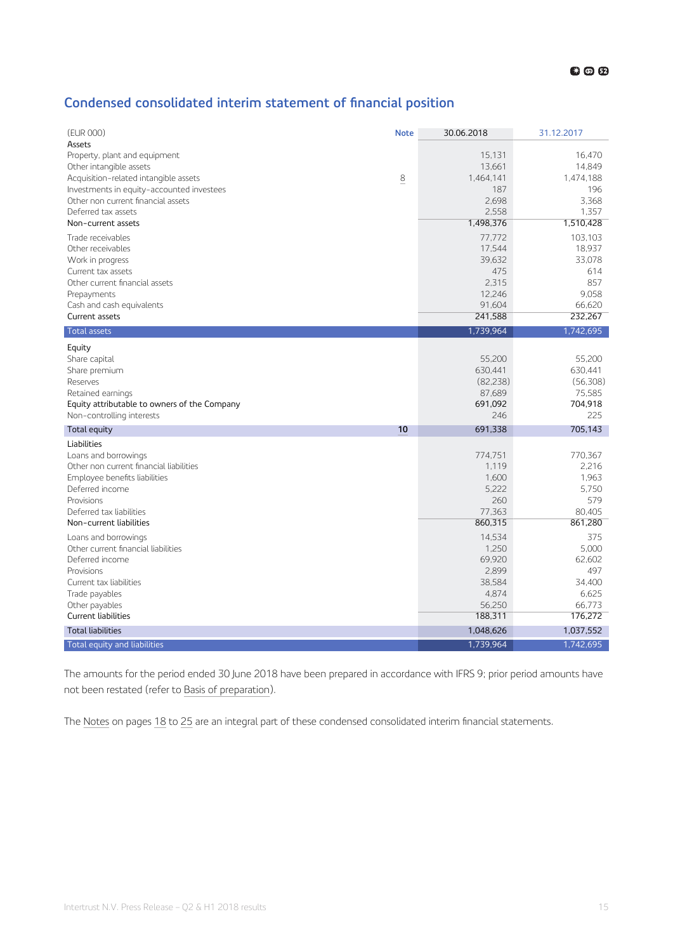### <span id="page-14-0"></span>**Condensed consolidated interim statement of financial position**

| (EUR 000)                                                   | <b>Note</b> | 30.06.2018        | 31.12.2017        |
|-------------------------------------------------------------|-------------|-------------------|-------------------|
| Assets                                                      |             |                   |                   |
| Property, plant and equipment<br>Other intangible assets    |             | 15.131<br>13,661  | 16.470<br>14,849  |
| Acquisition-related intangible assets                       | 8           | 1,464,141         | 1,474,188         |
| Investments in equity-accounted investees                   |             | 187               | 196               |
| Other non current financial assets                          |             | 2,698             | 3,368             |
| Deferred tax assets                                         |             | 2.558             | 1.357             |
| Non-current assets                                          |             | 1,498,376         | 1,510,428         |
| Trade receivables                                           |             | 77,772            | 103,103           |
| Other receivables                                           |             | 17,544            | 18,937            |
| Work in progress                                            |             | 39.632            | 33.078            |
| Current tax assets                                          |             | 475               | 614               |
| Other current financial assets                              |             | 2,315             | 857               |
| Prepayments                                                 |             | 12,246            | 9,058             |
| Cash and cash equivalents                                   |             | 91,604            | 66,620            |
| Current assets                                              |             | 241,588           | 232,267           |
| <b>Total assets</b>                                         |             | 1,739,964         | 1,742,695         |
| Equity                                                      |             |                   |                   |
| Share capital                                               |             | 55,200            | 55,200            |
| Share premium                                               |             | 630,441           | 630,441           |
| Reserves                                                    |             | (82, 238)         | (56, 308)         |
| Retained earnings                                           |             | 87,689            | 75,585            |
| Equity attributable to owners of the Company                |             | 691,092           | 704,918           |
| Non-controlling interests                                   |             | 246               | 225               |
| Total equity                                                | 10          | 691,338           | 705.143           |
| Liabilities                                                 |             |                   |                   |
| Loans and borrowings                                        |             | 774.751           | 770.367           |
| Other non current financial liabilities                     |             | 1.119             | 2,216             |
| Employee benefits liabilities                               |             | 1.600             | 1.963             |
| Deferred income                                             |             | 5.222             | 5.750             |
| Provisions                                                  |             | 260               | 579               |
| Deferred tax liabilities<br>Non-current liabilities         |             | 77,363<br>860,315 | 80.405<br>861,280 |
|                                                             |             |                   |                   |
| Loans and borrowings<br>Other current financial liabilities |             | 14,534<br>1,250   | 375<br>5,000      |
| Deferred income                                             |             | 69,920            | 62.602            |
| Provisions                                                  |             | 2,899             | 497               |
| Current tax liabilities                                     |             | 38,584            | 34.400            |
| Trade payables                                              |             | 4,874             | 6.625             |
| Other payables                                              |             | 56,250            | 66,773            |
| Current liabilities                                         |             | 188,311           | 176,272           |
| <b>Total liabilities</b>                                    |             | 1,048,626         | 1,037,552         |
| Total equity and liabilities                                |             | 1,739,964         | 1,742,695         |
|                                                             |             |                   |                   |

The amounts for the period ended 30 June 2018 have been prepared in accordance with IFRS 9; prior period amounts have not been restated (refer to [Basis of preparation\)](#page-17-0).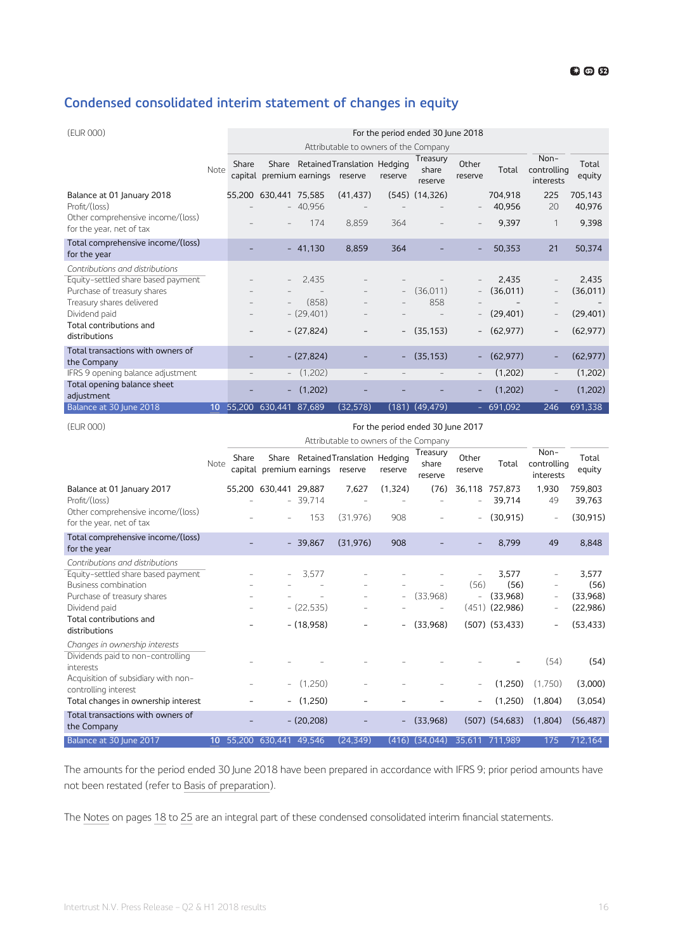### <span id="page-15-0"></span>**Condensed consolidated interim statement of changes in equity**

| (EUR 000)                                                     |                 | For the period ended 30 June 2018 |                       |                                  |                                       |                          |                              |                  |                   |                                    |                   |  |
|---------------------------------------------------------------|-----------------|-----------------------------------|-----------------------|----------------------------------|---------------------------------------|--------------------------|------------------------------|------------------|-------------------|------------------------------------|-------------------|--|
|                                                               |                 |                                   |                       |                                  | Attributable to owners of the Company |                          |                              |                  |                   |                                    |                   |  |
|                                                               | Note            | Share                             |                       | capital premium earnings reserve | Share Retained Translation Hedging    | reserve                  | Treasury<br>share<br>reserve | Other<br>reserve | Total             | $Non-$<br>controlling<br>interests | Total<br>equity   |  |
| Balance at 01 January 2018<br>Profit/(loss)                   |                 |                                   | 55,200 630,441 75,585 | $-40,956$                        | (41, 437)<br>$\overline{\phantom{m}}$ |                          | $(545)$ $(14,326)$           |                  | 704.918<br>40,956 | 225<br>20                          | 705.143<br>40,976 |  |
| Other comprehensive income/(loss)<br>for the year, net of tax |                 |                                   |                       | 174                              | 8.859                                 | 364                      |                              |                  | 9,397             | $\mathbf 1$                        | 9,398             |  |
| Total comprehensive income/(loss)<br>for the year             |                 |                                   |                       | $-41.130$                        | 8,859                                 | 364                      |                              |                  | 50.353            | 21                                 | 50,374            |  |
| Contributions and distributions                               |                 |                                   |                       |                                  |                                       |                          |                              |                  |                   |                                    |                   |  |
| Equity-settled share based payment                            |                 |                                   |                       | 2.435                            |                                       |                          |                              |                  | 2.435             |                                    | 2.435             |  |
| Purchase of treasury shares                                   |                 |                                   |                       |                                  | $\overline{\phantom{m}}$              | $\overline{\phantom{a}}$ | (36,011)                     |                  | (36,011)          | $\overline{\phantom{a}}$           | (36, 011)         |  |
| Treasury shares delivered                                     |                 |                                   |                       | (858)                            |                                       |                          | 858                          |                  |                   |                                    |                   |  |
| Dividend paid                                                 |                 |                                   |                       | $-(29,401)$                      |                                       |                          |                              |                  | (29, 401)         | $\overline{\phantom{a}}$           | (29, 401)         |  |
| Total contributions and<br>distributions                      |                 |                                   |                       | $-(27,824)$                      |                                       | $\overline{\phantom{a}}$ | (35, 153)                    | $-$              | (62, 977)         | $\overline{\phantom{0}}$           | (62, 977)         |  |
| Total transactions with owners of<br>the Company              |                 |                                   |                       | $-(27,824)$                      |                                       |                          | (35, 153)                    |                  | (62, 977)         | Ē,                                 | (62, 977)         |  |
| IFRS 9 opening balance adjustment                             |                 |                                   |                       | (1,202)                          | $\equiv$                              |                          |                              |                  | (1,202)           | $\qquad \qquad -$                  | (1,202)           |  |
| Total opening balance sheet<br>adjustment                     |                 |                                   | $\sim$                | (1,202)                          |                                       |                          |                              | ۰                | (1,202)           | ۳                                  | (1,202)           |  |
| Balance at 30 June 2018                                       | 10 <sup>°</sup> | 55.200                            | 630.441               | 87,689                           | (32, 578)                             |                          | $(181)$ $(49, 479)$          |                  | $-691,092$        | 246                                | 691,338           |  |

### (EUR 000) For the period ended 30 June 2017

|                                                                                                                                                                                           |                 |        |                                  |                                      | Attributable to owners of the Company |                                                      |                              |                                  |                                                                       |                                                                         |                                                    |
|-------------------------------------------------------------------------------------------------------------------------------------------------------------------------------------------|-----------------|--------|----------------------------------|--------------------------------------|---------------------------------------|------------------------------------------------------|------------------------------|----------------------------------|-----------------------------------------------------------------------|-------------------------------------------------------------------------|----------------------------------------------------|
|                                                                                                                                                                                           | Note            | Share  | capital premium earnings reserve |                                      | Share Retained Translation Hedging    | reserve                                              | Treasury<br>share<br>reserve | Other<br>reserve                 | Total                                                                 | Non-<br>controlling<br>interests                                        | Total<br>equity                                    |
| Balance at 01 January 2017<br>Profit/(loss)                                                                                                                                               |                 |        | 55,200 630,441 29,887            | $-39,714$                            | 7,627<br>$\overline{a}$               | (1,324)                                              | (76)                         | 36,118                           | 757,873<br>39.714                                                     | 1,930<br>49                                                             | 759,803<br>39,763                                  |
| Other comprehensive income/(loss)<br>for the year, net of tax                                                                                                                             |                 |        |                                  | 153                                  | (31.976)                              | 908                                                  |                              |                                  | (30, 915)                                                             | $\overline{a}$                                                          | (30, 915)                                          |
| Total comprehensive income/(loss)<br>for the year                                                                                                                                         |                 |        |                                  | $-39,867$                            | (31, 976)                             | 908                                                  |                              |                                  | 8,799                                                                 | 49                                                                      | 8,848                                              |
| Contributions and distributions<br>Equity-settled share based payment<br>Business combination<br>Purchase of treasury shares<br>Dividend paid<br>Total contributions and<br>distributions |                 |        |                                  | 3.577<br>$-(22,535)$<br>$- (18,958)$ |                                       | $\overline{\phantom{a}}$<br>$\overline{\phantom{a}}$ | (33.968)<br>(33,968)         | (56)<br>$\overline{\phantom{a}}$ | 3.577<br>(56)<br>(33.968)<br>$(451)$ $(22,986)$<br>$(507)$ $(53,433)$ | $\overline{a}$<br>$\qquad \qquad -$<br>$\overline{a}$<br>$\overline{a}$ | 3.577<br>(56)<br>(33,968)<br>(22,986)<br>(53, 433) |
| Changes in ownership interests<br>Dividends paid to non-controlling<br>interests<br>Acquisition of subsidiary with non-<br>controlling interest                                           |                 |        |                                  | (1,250)                              |                                       |                                                      |                              |                                  | (1,250)                                                               | (54)<br>(1.750)                                                         | (54)<br>(3,000)                                    |
| Total changes in ownership interest                                                                                                                                                       |                 |        |                                  | (1.250)                              |                                       |                                                      |                              |                                  | (1,250)                                                               | (1,804)                                                                 | (3,054)                                            |
| Total transactions with owners of<br>the Company                                                                                                                                          |                 |        |                                  | $-(20,208)$                          |                                       |                                                      | (33,968)                     |                                  | $(507)$ $(54,683)$                                                    | (1,804)                                                                 | (56, 487)                                          |
| Balance at 30 June 2017                                                                                                                                                                   | 10 <sup>°</sup> | 55.200 | 630.441                          | 49.546                               | (24.349)                              | (416)                                                | (34.044)                     |                                  | 35.611 711.989                                                        | 175                                                                     | 712,164                                            |

The amounts for the period ended 30 June 2018 have been prepared in accordance with IFRS 9; prior period amounts have not been restated (refer to [Basis of preparation\)](#page-17-0).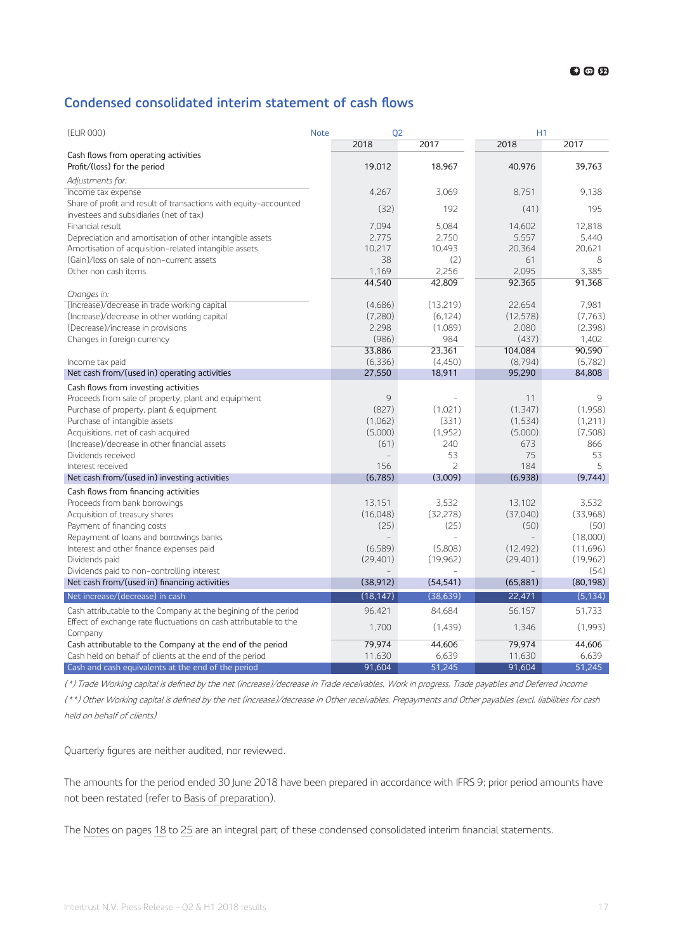### <span id="page-16-0"></span>**Condensed consolidated interim statement of cash flows**

| (EUR 000)                                                                                                   | <b>Note</b> | Q <sub>2</sub>     |                          | H1                 |                    |  |  |
|-------------------------------------------------------------------------------------------------------------|-------------|--------------------|--------------------------|--------------------|--------------------|--|--|
|                                                                                                             |             | 2018               | 2017                     | 2018               | 2017               |  |  |
| Cash flows from operating activities<br>Profit/(loss) for the period                                        |             | 19,012             | 18.967                   | 40.976             | 39.763             |  |  |
| Adjustments for:                                                                                            |             |                    |                          |                    |                    |  |  |
| Income tax expense                                                                                          |             | 4,267              | 3,069                    | 8,751              | 9.138              |  |  |
| Share of profit and result of transactions with equity-accounted<br>investees and subsidiaries (net of tax) |             | (32)               | 192                      | (41)               | 195                |  |  |
| Financial result                                                                                            |             | 7,094              | 5,084                    | 14,602             | 12,818             |  |  |
| Depreciation and amortisation of other intangible assets                                                    |             | 2,775              | 2,750                    | 5,557              | 5,440              |  |  |
| Amortisation of acquisition-related intangible assets                                                       |             | 10,217             | 10,493                   | 20,364             | 20,621             |  |  |
| (Gain)/loss on sale of non-current assets<br>Other non cash items                                           |             | 38<br>1,169        | (2)<br>2.256             | 61<br>2.095        | 8<br>3.385         |  |  |
|                                                                                                             |             | 44,540             | 42,809                   | 92,365             | 91,368             |  |  |
| Changes in:                                                                                                 |             |                    |                          |                    |                    |  |  |
| (Increase)/decrease in trade working capital                                                                |             | (4,686)            | (13,219)                 | 22,654             | 7,981              |  |  |
| (Increase)/decrease in other working capital                                                                |             | (7,280)            | (6, 124)                 | (12, 578)          | (7,763)            |  |  |
| (Decrease)/increase in provisions                                                                           |             | 2,298              | (1,089)                  | 2,080              | (2,398)            |  |  |
| Changes in foreign currency                                                                                 |             | (986)              | 984                      | (437)              | 1.402              |  |  |
|                                                                                                             |             | 33,886             | 23,361                   | 104,084            | 90.590             |  |  |
| Income tax paid                                                                                             |             | (6,336)            | (4.450)                  | (8.794)            | (5.782)            |  |  |
| Net cash from/(used in) operating activities                                                                |             | 27,550             | 18,911                   | 95,290             | 84,808             |  |  |
| Cash flows from investing activities                                                                        |             |                    |                          |                    |                    |  |  |
| Proceeds from sale of property, plant and equipment                                                         |             | 9                  |                          | 11                 | 9                  |  |  |
| Purchase of property, plant & equipment                                                                     |             | (827)              | (1,021)                  | (1,347)            | (1,958)            |  |  |
| Purchase of intangible assets                                                                               |             | (1,062)<br>(5,000) | (331)<br>(1,952)         | (1,534)<br>(5,000) | (1,211)<br>(7,508) |  |  |
| Acquisitions, net of cash acquired<br>(Increase)/decrease in other financial assets                         |             | (61)               | 240                      | 673                | 866                |  |  |
| Dividends received                                                                                          |             |                    | 53                       | 75                 | 53                 |  |  |
| Interest received                                                                                           |             | 156                | $\overline{\phantom{0}}$ | 184                | 5                  |  |  |
| Net cash from/(used in) investing activities                                                                |             | (6,785)            | (3,009)                  | (6,938)            | (9,744)            |  |  |
| Cash flows from financing activities                                                                        |             |                    |                          |                    |                    |  |  |
| Proceeds from bank borrowings                                                                               |             | 13.151             | 3,532                    | 13.102             | 3,532              |  |  |
| Acquisition of treasury shares                                                                              |             | (16,048)           | (32, 278)                | (37,040)           | (33,968)           |  |  |
| Payment of financing costs                                                                                  |             | (25)               | (25)                     | (50)               | (50)               |  |  |
| Repayment of loans and borrowings banks                                                                     |             | $\overline{a}$     |                          | $\overline{a}$     | (18,000)           |  |  |
| Interest and other finance expenses paid                                                                    |             | (6,589)            | (5,808)                  | (12, 492)          | (11,696)           |  |  |
| Dividends paid                                                                                              |             | (29.401)           | (19,962)                 | (29, 401)          | (19,962)           |  |  |
| Dividends paid to non-controlling interest                                                                  |             |                    |                          |                    | (54)               |  |  |
| Net cash from/(used in) financing activities                                                                |             | (38, 912)          | (54, 541)                | (65, 881)          | (80, 198)          |  |  |
| Net increase/(decrease) in cash                                                                             |             | (18, 147)          | (38, 639)                | 22,471             | (5, 134)           |  |  |
| Cash attributable to the Company at the begining of the period                                              |             | 96,421             | 84,684                   | 56,157             | 51,733             |  |  |
| Effect of exchange rate fluctuations on cash attributable to the<br>Company                                 |             | 1,700              | (1,439)                  | 1,346              | (1,993)            |  |  |
| Cash attributable to the Company at the end of the period                                                   |             | 79,974             | 44,606                   | 79,974             | 44,606             |  |  |
| Cash held on behalf of clients at the end of the period                                                     |             | 11,630             | 6,639                    | 11,630             | 6,639              |  |  |
| Cash and cash equivalents at the end of the period                                                          |             | 91,604             | 51,245                   | 91,604             | 51,245             |  |  |

(\*) Trade Working capital is defined by the net (increase)/decrease in Trade receivables, Work in progress, Trade payables and Deferred income

(\*\*) Other Working capital is defined by the net (increase)/decrease in Other receivables, Prepayments and Other payables (excl. liabilities for cash held on behalf of clients)

Quarterly figures are neither audited, nor reviewed.

The amounts for the period ended 30 June 2018 have been prepared in accordance with IFRS 9; prior period amounts have not been restated (refer to [Basis of preparation\)](#page-17-0).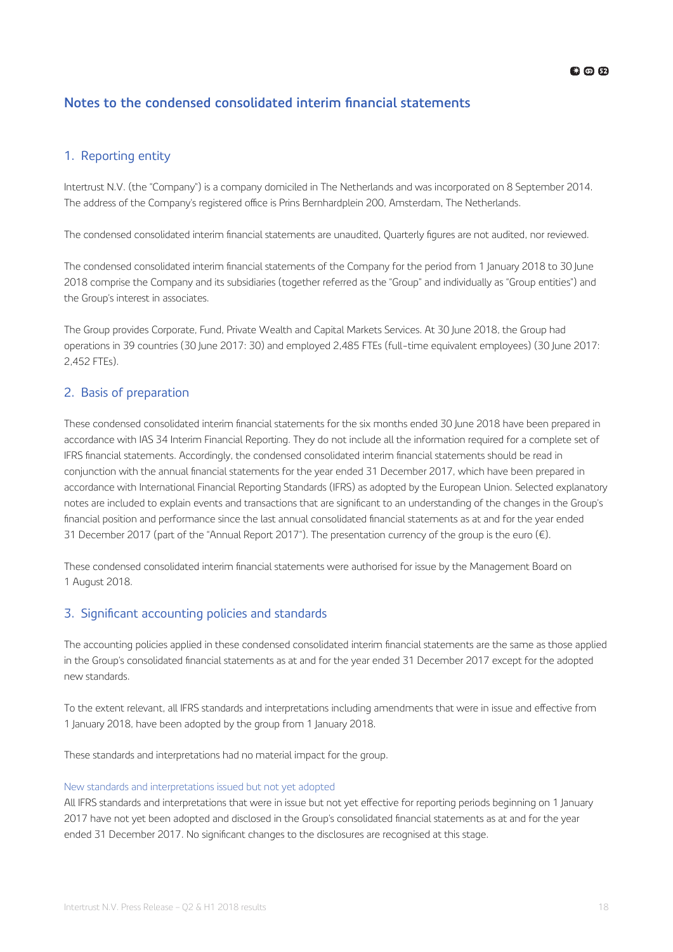### <span id="page-17-0"></span>**Notes to the condensed consolidated interim financial statements**

### 1. Reporting entity

Intertrust N.V. (the "Company") is a company domiciled in The Netherlands and was incorporated on 8 September 2014. The address of the Company's registered office is Prins Bernhardplein 200, Amsterdam, The Netherlands.

The condensed consolidated interim financial statements are unaudited, Quarterly figures are not audited, nor reviewed.

The condensed consolidated interim financial statements of the Company for the period from 1 January 2018 to 30 June 2018 comprise the Company and its subsidiaries (together referred as the "Group" and individually as "Group entities") and the Group's interest in associates.

The Group provides Corporate, Fund, Private Wealth and Capital Markets Services. At 30 June 2018, the Group had operations in 39 countries (30 June 2017: 30) and employed 2,485 FTEs (full-time equivalent employees) (30 June 2017: 2,452 FTEs).

### 2. Basis of preparation

These condensed consolidated interim financial statements for the six months ended 30 June 2018 have been prepared in accordance with IAS 34 Interim Financial Reporting. They do not include all the information required for a complete set of IFRS financial statements. Accordingly, the condensed consolidated interim financial statements should be read in conjunction with the annual financial statements for the year ended 31 December 2017, which have been prepared in accordance with International Financial Reporting Standards (IFRS) as adopted by the European Union. Selected explanatory notes are included to explain events and transactions that are significant to an understanding of the changes in the Group's financial position and performance since the last annual consolidated financial statements as at and for the year ended 31 December 2017 (part of the "Annual Report 2017"). The presentation currency of the group is the euro ( $\epsilon$ ).

These condensed consolidated interim financial statements were authorised for issue by the Management Board on 1 August 2018.

### 3. Significant accounting policies and standards

The accounting policies applied in these condensed consolidated interim financial statements are the same as those applied in the Group's consolidated financial statements as at and for the year ended 31 December 2017 except for the adopted new standards.

To the extent relevant, all IFRS standards and interpretations including amendments that were in issue and effective from 1 January 2018, have been adopted by the group from 1 January 2018.

These standards and interpretations had no material impact for the group.

### New standards and interpretations issued but not yet adopted

All IFRS standards and interpretations that were in issue but not yet effective for reporting periods beginning on 1 January 2017 have not yet been adopted and disclosed in the Group's consolidated financial statements as at and for the year ended 31 December 2017. No significant changes to the disclosures are recognised at this stage.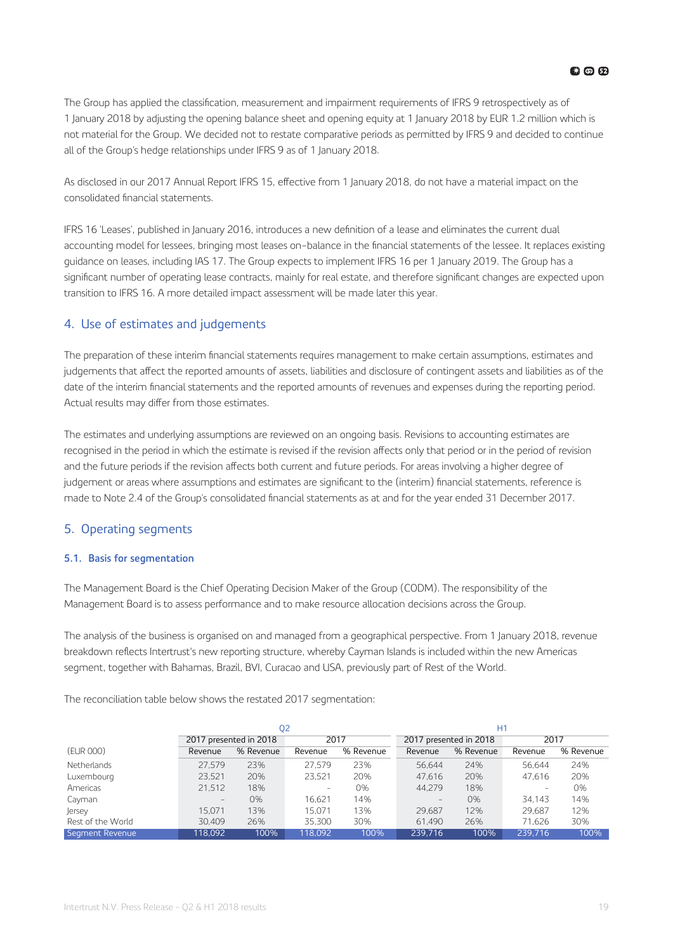<span id="page-18-0"></span>The Group has applied the classification, measurement and impairment requirements of IFRS 9 retrospectively as of 1 January 2018 by adjusting the opening balance sheet and opening equity at 1 January 2018 by EUR 1.2 million which is not material for the Group. We decided not to restate comparative periods as permitted by IFRS 9 and decided to continue all of the Group's hedge relationships under IFRS 9 as of 1 January 2018.

As disclosed in our 2017 Annual Report IFRS 15, effective from 1 January 2018, do not have a material impact on the consolidated financial statements.

IFRS 16 'Leases', published in January 2016, introduces a new definition of a lease and eliminates the current dual accounting model for lessees, bringing most leases on-balance in the financial statements of the lessee. It replaces existing guidance on leases, including IAS 17. The Group expects to implement IFRS 16 per 1 January 2019. The Group has a significant number of operating lease contracts, mainly for real estate, and therefore significant changes are expected upon transition to IFRS 16. A more detailed impact assessment will be made later this year.

### 4. Use of estimates and judgements

The preparation of these interim financial statements requires management to make certain assumptions, estimates and judgements that affect the reported amounts of assets, liabilities and disclosure of contingent assets and liabilities as of the date of the interim financial statements and the reported amounts of revenues and expenses during the reporting period. Actual results may differ from those estimates.

The estimates and underlying assumptions are reviewed on an ongoing basis. Revisions to accounting estimates are recognised in the period in which the estimate is revised if the revision affects only that period or in the period of revision and the future periods if the revision affects both current and future periods. For areas involving a higher degree of judgement or areas where assumptions and estimates are significant to the (interim) financial statements, reference is made to Note 2.4 of the Group's consolidated financial statements as at and for the year ended 31 December 2017.

### 5. Operating segments

### **5.1. Basis for segmentation**

The Management Board is the Chief Operating Decision Maker of the Group (CODM). The responsibility of the Management Board is to assess performance and to make resource allocation decisions across the Group.

The analysis of the business is organised on and managed from a geographical perspective. From 1 January 2018, revenue breakdown reflects Intertrust's new reporting structure, whereby Cayman Islands is included within the new Americas segment, together with Bahamas, Brazil, BVI, Curacao and USA, previously part of Rest of the World.

The reconciliation table below shows the restated 2017 segmentation:

|                   |                        | Q <sub>2</sub> |         |           | H1                       |                        |         |           |  |
|-------------------|------------------------|----------------|---------|-----------|--------------------------|------------------------|---------|-----------|--|
|                   | 2017 presented in 2018 |                | 2017    |           |                          | 2017 presented in 2018 |         | 2017      |  |
| (EUR 000)         | Revenue                | % Revenue      | Revenue | % Revenue | Revenue                  | % Revenue              | Revenue | % Revenue |  |
| Netherlands       | 27.579                 | 23%            | 27.579  | 23%       | 56.644                   | 24%                    | 56.644  | 24%       |  |
| Luxembourg        | 23.521                 | 20%            | 23.521  | 20%       | 47.616                   | 20%                    | 47.616  | 20%       |  |
| Americas          | 21,512                 | 18%            | -       | 0%        | 44.279                   | 18%                    |         | 0%        |  |
| Cayman            | $\qquad \qquad -$      | 0%             | 16.621  | 14%       | $\overline{\phantom{a}}$ | 0%                     | 34.143  | 14%       |  |
| Jersey            | 15.071                 | 13%            | 15.071  | 13%       | 29.687                   | 12%                    | 29.687  | 12%       |  |
| Rest of the World | 30.409                 | 26%            | 35.300  | 30%       | 61.490                   | 26%                    | 71.626  | 30%       |  |
| Segment Revenue   | 118.092                | 100%           | 118.092 | 100%      | 239.716                  | 100%                   | 239.716 | 100%      |  |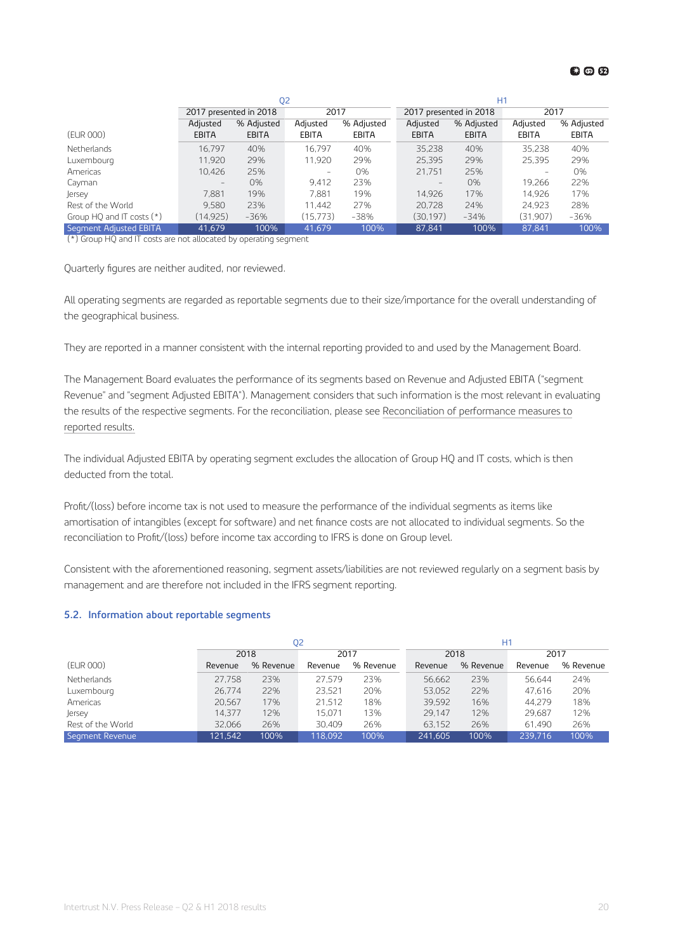### **63 @ 62**

|                           |                        | Q <sub>2</sub> |                          |              | H1                     |            |              |            |  |
|---------------------------|------------------------|----------------|--------------------------|--------------|------------------------|------------|--------------|------------|--|
|                           | 2017 presented in 2018 |                | 2017                     |              | 2017 presented in 2018 |            | 2017         |            |  |
|                           | Adjusted               | % Adjusted     | Adjusted                 | % Adjusted   | Adjusted               | % Adjusted | Adjusted     | % Adjusted |  |
| (EUR 000)                 | <b>EBITA</b>           | <b>EBITA</b>   | EBITA                    | <b>EBITA</b> | <b>EBITA</b>           | EBITA      | <b>EBITA</b> | EBITA      |  |
| Netherlands               | 16.797                 | 40%            | 16.797                   | 40%          | 35.238                 | 40%        | 35.238       | 40%        |  |
| Luxembourg                | 11.920                 | 29%            | 11.920                   | 29%          | 25,395                 | 29%        | 25,395       | 29%        |  |
| Americas                  | 10.426                 | 25%            | $\overline{\phantom{0}}$ | 0%           | 21.751                 | 25%        |              | 0%         |  |
| Cayman                    | $\qquad \qquad -$      | 0%             | 9.412                    | 23%          | $\qquad \qquad -$      | 0%         | 19.266       | 22%        |  |
| Jersey                    | 7.881                  | 19%            | 7.881                    | 19%          | 14.926                 | 17%        | 14.926       | 17%        |  |
| Rest of the World         | 9.580                  | 23%            | 11.442                   | 27%          | 20.728                 | 24%        | 24.923       | 28%        |  |
| Group HQ and IT costs (*) | (14, 925)              | $-36%$         | (15, 773)                | $-38%$       | (30.197)               | $-34%$     | (31.907)     | -36%       |  |
| Segment Adjusted EBITA    | 41.679                 | 100%           | 41.679                   | 100%         | 87.841                 | 100%       | 87.841       | 100%       |  |

(\*) Group HQ and IT costs are not allocated by operating segment

Quarterly figures are neither audited, nor reviewed.

All operating segments are regarded as reportable segments due to their size/importance for the overall understanding of the geographical business.

They are reported in a manner consistent with the internal reporting provided to and used by the Management Board.

The Management Board evaluates the performance of its segments based on Revenue and Adjusted EBITA ("segment Revenue" and "segment Adjusted EBITA"). Management considers that such information is the most relevant in evaluating the results of the respective segments. For the reconciliation, please see [Reconciliation of performance measures to](#page-8-0) [reported results.](#page-8-0)

The individual Adjusted EBITA by operating segment excludes the allocation of Group HQ and IT costs, which is then deducted from the total.

Profit/(loss) before income tax is not used to measure the performance of the individual segments as items like amortisation of intangibles (except for software) and net finance costs are not allocated to individual segments. So the reconciliation to Profit/(loss) before income tax according to IFRS is done on Group level.

Consistent with the aforementioned reasoning, segment assets/liabilities are not reviewed regularly on a segment basis by management and are therefore not included in the IFRS segment reporting.

### **5.2. Information about reportable segments**

|                   |         | Q <sub>2</sub> |         |           |         | H1        |         |           |
|-------------------|---------|----------------|---------|-----------|---------|-----------|---------|-----------|
|                   | 2018    |                | 2017    |           |         | 2018      | 2017    |           |
| (EUR 000)         | Revenue | % Revenue      | Revenue | % Revenue | Revenue | % Revenue | Revenue | % Revenue |
| Netherlands       | 27.758  | 23%            | 27.579  | 23%       | 56,662  | 23%       | 56.644  | 24%       |
| Luxembourg        | 26.774  | 22%            | 23.521  | 20%       | 53,052  | 22%       | 47.616  | 20%       |
| Americas          | 20.567  | 17%            | 21.512  | 18%       | 39.592  | 16%       | 44.279  | 18%       |
| Jersey            | 14.377  | 12%            | 15.071  | 13%       | 29.147  | 12%       | 29.687  | 12%       |
| Rest of the World | 32.066  | 26%            | 30.409  | 26%       | 63.152  | 26%       | 61.490  | 26%       |
| Segment Revenue   | 121.542 | 100%           | 118.092 | 100%      | 241,605 | 100%      | 239.716 | 100%      |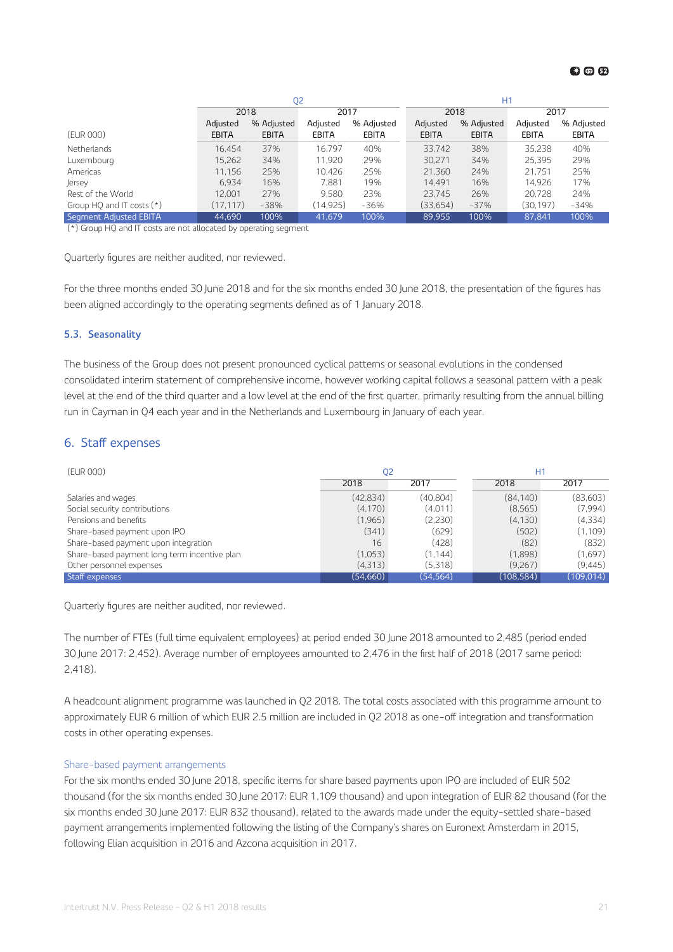<span id="page-20-0"></span>

|                             | Q <sub>2</sub> |              |              |              | H1           |              |              |            |
|-----------------------------|----------------|--------------|--------------|--------------|--------------|--------------|--------------|------------|
|                             | 2018           |              | 2017         |              | 2018         |              | 2017         |            |
|                             | Adjusted       | % Adjusted   | Adjusted     | % Adjusted   | Adjusted     | % Adjusted   | Adjusted     | % Adjusted |
| (EUR 000)                   | <b>EBITA</b>   | <b>EBITA</b> | <b>EBITA</b> | <b>EBITA</b> | <b>EBITA</b> | <b>EBITA</b> | <b>EBITA</b> | EBITA      |
| Netherlands                 | 16.454         | 37%          | 16.797       | 40%          | 33.742       | 38%          | 35.238       | 40%        |
| Luxembourg                  | 15.262         | 34%          | 11.920       | 29%          | 30,271       | 34%          | 25,395       | 29%        |
| Americas                    | 11.156         | 25%          | 10.426       | 25%          | 21,360       | 24%          | 21.751       | 25%        |
| Jersey                      | 6.934          | 16%          | 7.881        | 19%          | 14.491       | 16%          | 14.926       | 17%        |
| Rest of the World           | 12.001         | 27%          | 9.580        | 23%          | 23.745       | 26%          | 20.728       | 24%        |
| Group HQ and IT costs $(*)$ | (17.117)       | $-38%$       | (14.925)     | $-36%$       | (33,654)     | $-37%$       | (30.197)     | $-34%$     |
| Segment Adjusted EBITA      | 44.690         | 100%         | 41.679       | 100%         | 89.955       | 100%         | 87.841       | 100%       |

(\*) Group HQ and IT costs are not allocated by operating segment

Quarterly figures are neither audited, nor reviewed.

For the three months ended 30 June 2018 and for the six months ended 30 June 2018, the presentation of the figures has been aligned accordingly to the operating segments defined as of 1 January 2018.

### **5.3. Seasonality**

The business of the Group does not present pronounced cyclical patterns or seasonal evolutions in the condensed consolidated interim statement of comprehensive income, however working capital follows a seasonal pattern with a peak level at the end of the third quarter and a low level at the end of the first quarter, primarily resulting from the annual billing run in Cayman in Q4 each year and in the Netherlands and Luxembourg in January of each year.

### 6. Staff expenses

| (EUR 000)                                    | 02       |           | H1        |            |  |
|----------------------------------------------|----------|-----------|-----------|------------|--|
|                                              | 2018     | 2017      | 2018      | 2017       |  |
| Salaries and wages                           | (42.834) | (40.804)  | (84.140)  | (83,603)   |  |
| Social security contributions                | (4, 170) | (4.011)   | (8, 565)  | (7.994)    |  |
| Pensions and benefits                        | (1,965)  | (2.230)   | (4.130)   | (4,334)    |  |
| Share-based payment upon IPO                 | (341)    | (629)     | (502)     | (1.109)    |  |
| Share-based payment upon integration         | 16       | (428)     | (82)      | (832)      |  |
| Share-based payment long term incentive plan | (1,053)  | (1.144)   | (1,898)   | (1.697)    |  |
| Other personnel expenses                     | (4,313)  | (5,318)   | (9.267)   | (9.445)    |  |
| Staff expenses                               | (54,660) | (54, 564) | (108.584) | (109, 014) |  |

Quarterly figures are neither audited, nor reviewed.

The number of FTEs (full time equivalent employees) at period ended 30 June 2018 amounted to 2,485 (period ended 30 June 2017: 2,452). Average number of employees amounted to 2,476 in the first half of 2018 (2017 same period: 2,418).

A headcount alignment programme was launched in Q2 2018. The total costs associated with this programme amount to approximately EUR 6 million of which EUR 2.5 million are included in Q2 2018 as one-off integration and transformation costs in other operating expenses.

### Share-based payment arrangements

For the six months ended 30 June 2018, specific items for share based payments upon IPO are included of EUR 502 thousand (for the six months ended 30 June 2017: EUR 1,109 thousand) and upon integration of EUR 82 thousand (for the six months ended 30 June 2017: EUR 832 thousand), related to the awards made under the equity-settled share-based payment arrangements implemented following the listing of the Company's shares on Euronext Amsterdam in 2015, following Elian acquisition in 2016 and Azcona acquisition in 2017.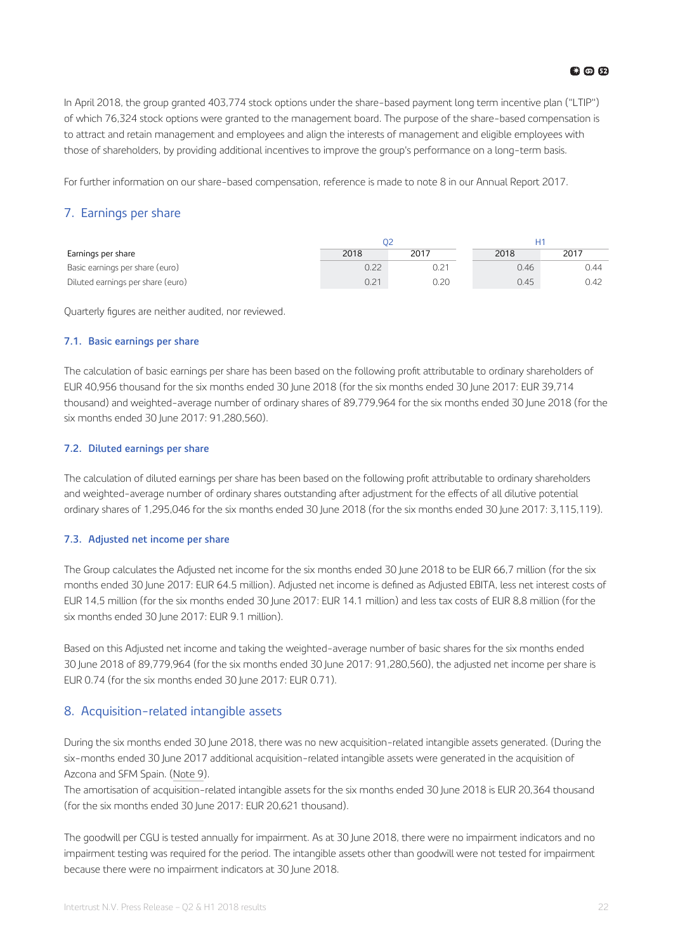<span id="page-21-0"></span>In April 2018, the group granted 403,774 stock options under the share-based payment long term incentive plan ("LTIP") of which 76,324 stock options were granted to the management board. The purpose of the share-based compensation is to attract and retain management and employees and align the interests of management and eligible employees with those of shareholders, by providing additional incentives to improve the group's performance on a long-term basis.

For further information on our share-based compensation, reference is made to note 8 in our Annual Report 2017.

### 7. Earnings per share

| Earnings per share                | 2018 | 2017 | 2018 | 2017 |
|-----------------------------------|------|------|------|------|
| Basic earnings per share (euro)   | 0.22 |      | 0.46 | 0.44 |
| Diluted earnings per share (euro) | 0.21 | 0.20 | 0.45 | 0.42 |

Quarterly figures are neither audited, nor reviewed.

### **7.1. Basic earnings per share**

The calculation of basic earnings per share has been based on the following profit attributable to ordinary shareholders of EUR 40,956 thousand for the six months ended 30 June 2018 (for the six months ended 30 June 2017: EUR 39,714 thousand) and weighted-average number of ordinary shares of 89,779,964 for the six months ended 30 June 2018 (for the six months ended 30 June 2017: 91,280,560).

### **7.2. Diluted earnings per share**

The calculation of diluted earnings per share has been based on the following profit attributable to ordinary shareholders and weighted-average number of ordinary shares outstanding after adjustment for the effects of all dilutive potential ordinary shares of 1,295,046 for the six months ended 30 June 2018 (for the six months ended 30 June 2017: 3,115,119).

### **7.3. Adjusted net income per share**

The Group calculates the Adjusted net income for the six months ended 30 June 2018 to be EUR 66,7 million (for the six months ended 30 June 2017: EUR 64.5 million). Adjusted net income is defined as Adjusted EBITA, less net interest costs of EUR 14,5 million (for the six months ended 30 June 2017: EUR 14.1 million) and less tax costs of EUR 8,8 million (for the six months ended 30 June 2017: EUR 9.1 million).

Based on this Adjusted net income and taking the weighted-average number of basic shares for the six months ended 30 June 2018 of 89,779,964 (for the six months ended 30 June 2017: 91,280,560), the adjusted net income per share is EUR 0.74 (for the six months ended 30 June 2017: EUR 0.71).

### 8. Acquisition-related intangible assets

During the six months ended 30 June 2018, there was no new acquisition-related intangible assets generated. (During the six-months ended 30 June 2017 additional acquisition-related intangible assets were generated in the acquisition of Azcona and SFM Spain. [\(Note 9](#page-22-0)).

The amortisation of acquisition-related intangible assets for the six months ended 30 June 2018 is EUR 20,364 thousand (for the six months ended 30 June 2017: EUR 20,621 thousand).

The goodwill per CGU is tested annually for impairment. As at 30 June 2018, there were no impairment indicators and no impairment testing was required for the period. The intangible assets other than goodwill were not tested for impairment because there were no impairment indicators at 30 June 2018.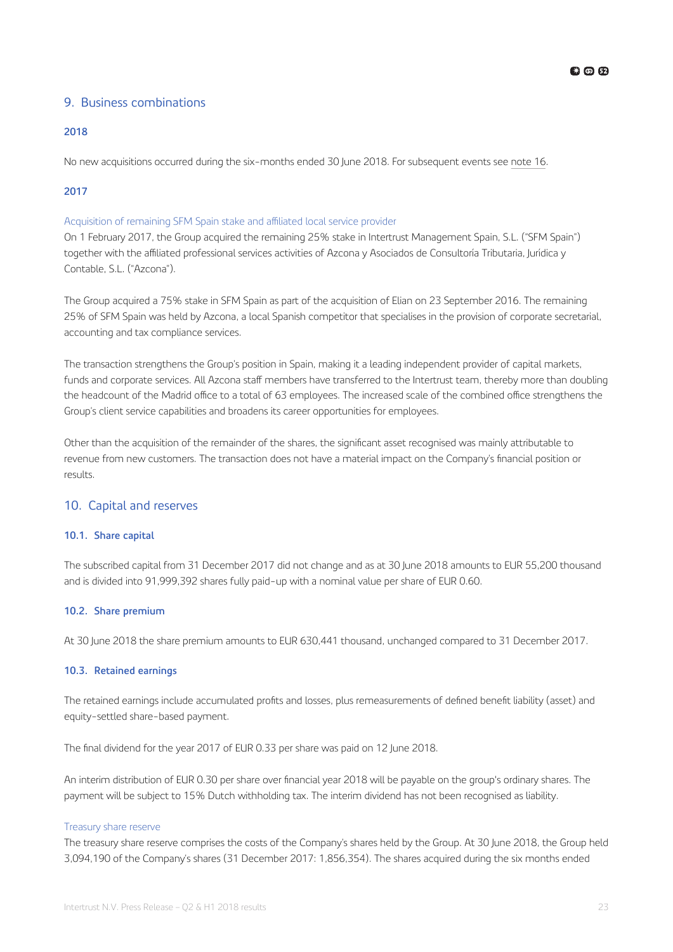### <span id="page-22-0"></span>9. Business combinations

### **2018**

No new acquisitions occurred during the six-months ended 30 June 2018. For subsequent events see [note 16](#page-24-0).

### **2017**

### Acquisition of remaining SFM Spain stake and affiliated local service provider

On 1 February 2017, the Group acquired the remaining 25% stake in Intertrust Management Spain, S.L. ("SFM Spain") together with the affiliated professional services activities of Azcona y Asociados de Consultoría Tributaria, Jurídica y Contable, S.L. ("Azcona").

The Group acquired a 75% stake in SFM Spain as part of the acquisition of Elian on 23 September 2016. The remaining 25% of SFM Spain was held by Azcona, a local Spanish competitor that specialises in the provision of corporate secretarial, accounting and tax compliance services.

The transaction strengthens the Group's position in Spain, making it a leading independent provider of capital markets, funds and corporate services. All Azcona staff members have transferred to the Intertrust team, thereby more than doubling the headcount of the Madrid office to a total of 63 employees. The increased scale of the combined office strengthens the Group's client service capabilities and broadens its career opportunities for employees.

Other than the acquisition of the remainder of the shares, the significant asset recognised was mainly attributable to revenue from new customers. The transaction does not have a material impact on the Company's financial position or results.

### 10. Capital and reserves

### **10.1. Share capital**

The subscribed capital from 31 December 2017 did not change and as at 30 June 2018 amounts to EUR 55,200 thousand and is divided into 91,999,392 shares fully paid-up with a nominal value per share of EUR 0.60.

### **10.2. Share premium**

At 30 June 2018 the share premium amounts to EUR 630,441 thousand, unchanged compared to 31 December 2017.

### **10.3. Retained earnings**

The retained earnings include accumulated profits and losses, plus remeasurements of defined benefit liability (asset) and equity-settled share-based payment.

The final dividend for the year 2017 of EUR 0.33 per share was paid on 12 June 2018.

An interim distribution of EUR 0.30 per share over financial year 2018 will be payable on the group's ordinary shares. The payment will be subject to 15% Dutch withholding tax. The interim dividend has not been recognised as liability.

### Treasury share reserve

The treasury share reserve comprises the costs of the Company's shares held by the Group. At 30 June 2018, the Group held 3,094,190 of the Company's shares (31 December 2017: 1,856,354). The shares acquired during the six months ended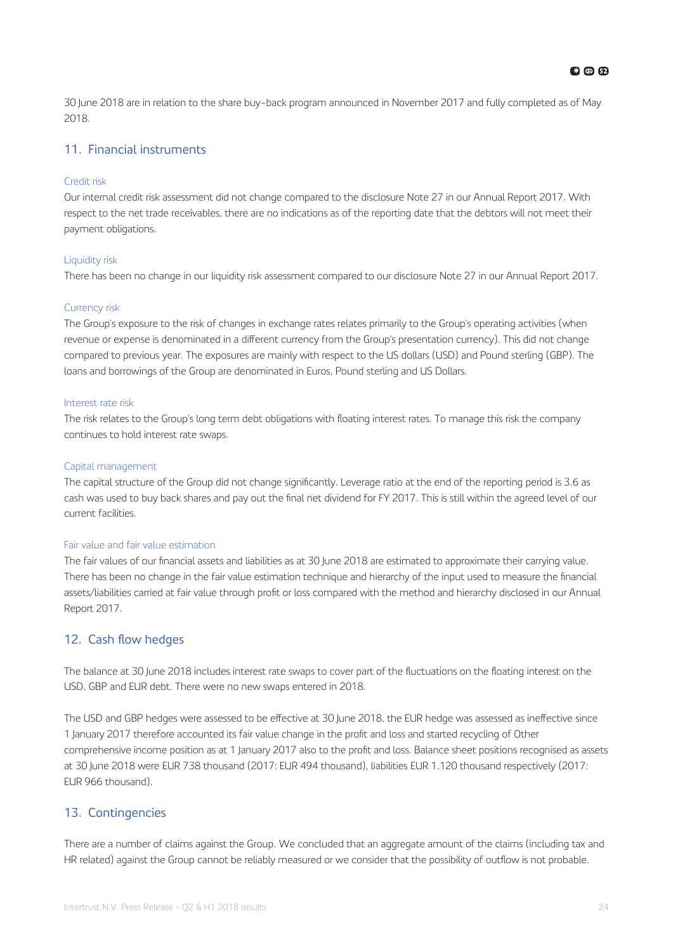<span id="page-23-0"></span>30 June 2018 are in relation to the share buy-back program announced in November 2017 and fully completed as of May 2018.

### 11. Financial instruments

### Credit risk

Our internal credit risk assessment did not change compared to the disclosure Note 27 in our Annual Report 2017. With respect to the net trade receivables, there are no indications as of the reporting date that the debtors will not meet their payment obligations.

### Liquidity risk

There has been no change in our liquidity risk assessment compared to our disclosure Note 27 in our Annual Report 2017.

### Currency risk

The Group's exposure to the risk of changes in exchange rates relates primarily to the Group's operating activities (when revenue or expense is denominated in a different currency from the Group's presentation currency). This did not change compared to previous year. The exposures are mainly with respect to the US dollars (USD) and Pound sterling (GBP). The loans and borrowings of the Group are denominated in Euros, Pound sterling and US Dollars.

### Interest rate risk

The risk relates to the Group's long term debt obligations with floating interest rates. To manage this risk the company continues to hold interest rate swaps.

### Capital management

The capital structure of the Group did not change significantly. Leverage ratio at the end of the reporting period is 3.6 as cash was used to buy back shares and pay out the final net dividend for FY 2017. This is still within the agreed level of our current facilities.

### Fair value and fair value estimation

The fair values of our financial assets and liabilities as at 30 June 2018 are estimated to approximate their carrying value. There has been no change in the fair value estimation technique and hierarchy of the input used to measure the financial assets/liabilities carried at fair value through profit or loss compared with the method and hierarchy disclosed in our Annual Report 2017.

### 12. Cash flow hedges

The balance at 30 June 2018 includes interest rate swaps to cover part of the fluctuations on the floating interest on the USD, GBP and EUR debt. There were no new swaps entered in 2018.

The USD and GBP hedges were assessed to be effective at 30 June 2018, the EUR hedge was assessed as ineffective since 1 January 2017 therefore accounted its fair value change in the profit and loss and started recycling of Other comprehensive income position as at 1 January 2017 also to the profit and loss. Balance sheet positions recognised as assets at 30 June 2018 were EUR 738 thousand (2017: EUR 494 thousand), liabilities EUR 1.120 thousand respectively (2017: EUR 966 thousand).

### 13. Contingencies

There are a number of claims against the Group. We concluded that an aggregate amount of the claims (including tax and HR related) against the Group cannot be reliably measured or we consider that the possibility of outflow is not probable.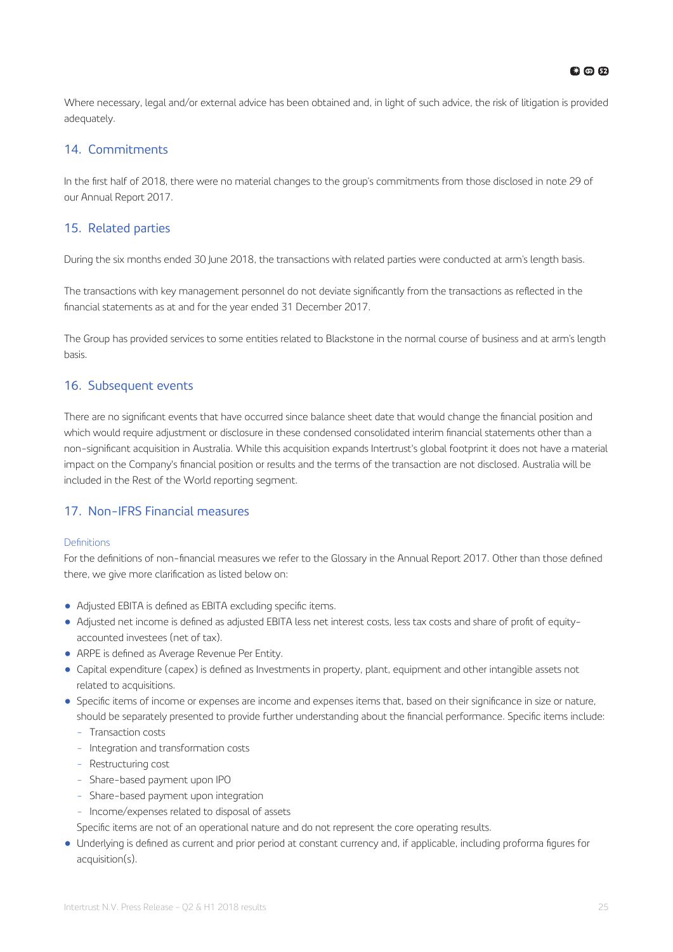<span id="page-24-0"></span>Where necessary, legal and/or external advice has been obtained and, in light of such advice, the risk of litigation is provided adequately.

### 14. Commitments

In the first half of 2018, there were no material changes to the group's commitments from those disclosed in note 29 of our Annual Report 2017.

### 15. Related parties

During the six months ended 30 June 2018, the transactions with related parties were conducted at arm's length basis.

The transactions with key management personnel do not deviate significantly from the transactions as reflected in the financial statements as at and for the year ended 31 December 2017.

The Group has provided services to some entities related to Blackstone in the normal course of business and at arm's length basis.

### 16. Subsequent events

There are no significant events that have occurred since balance sheet date that would change the financial position and which would require adjustment or disclosure in these condensed consolidated interim financial statements other than a non-significant acquisition in Australia. While this acquisition expands Intertrust's global footprint it does not have a material impact on the Company's financial position or results and the terms of the transaction are not disclosed. Australia will be included in the Rest of the World reporting segment.

### 17. Non-IFRS Financial measures

### Definitions

For the definitions of non-financial measures we refer to the Glossary in the Annual Report 2017. Other than those defined there, we give more clarification as listed below on:

- Adjusted EBITA is defined as EBITA excluding specific items.
- Adjusted net income is defined as adjusted EBITA less net interest costs, less tax costs and share of profit of equityaccounted investees (net of tax).
- ARPE is defined as Average Revenue Per Entity.
- Capital expenditure (capex) is defined as Investments in property, plant, equipment and other intangible assets not related to acquisitions.
- Specific items of income or expenses are income and expenses items that, based on their significance in size or nature, should be separately presented to provide further understanding about the financial performance. Specific items include:
	- Transaction costs
	- Integration and transformation costs
	- Restructuring cost
	- Share-based payment upon IPO
	- Share-based payment upon integration
	- Income/expenses related to disposal of assets
	- Specific items are not of an operational nature and do not represent the core operating results.
- Underlying is defined as current and prior period at constant currency and, if applicable, including proforma figures for acquisition(s).